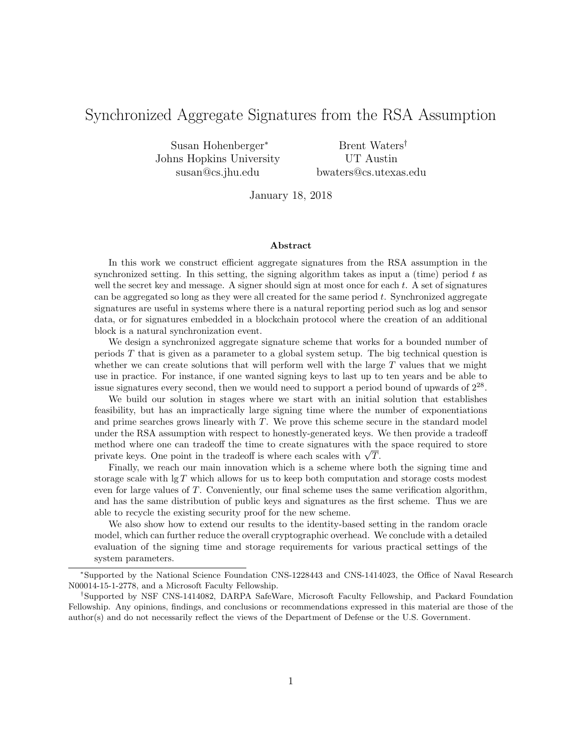# Synchronized Aggregate Signatures from the RSA Assumption

Susan Hohenberger<sup>∗</sup> Johns Hopkins University susan@cs.jhu.edu

Brent Waters† UT Austin bwaters@cs.utexas.edu

January 18, 2018

#### Abstract

In this work we construct efficient aggregate signatures from the RSA assumption in the synchronized setting. In this setting, the signing algorithm takes as input a (time) period  $t$  as well the secret key and message. A signer should sign at most once for each t. A set of signatures can be aggregated so long as they were all created for the same period  $t$ . Synchronized aggregate signatures are useful in systems where there is a natural reporting period such as log and sensor data, or for signatures embedded in a blockchain protocol where the creation of an additional block is a natural synchronization event.

We design a synchronized aggregate signature scheme that works for a bounded number of periods  $T$  that is given as a parameter to a global system setup. The big technical question is whether we can create solutions that will perform well with the large  $T$  values that we might use in practice. For instance, if one wanted signing keys to last up to ten years and be able to issue signatures every second, then we would need to support a period bound of upwards of  $2^{28}$ .

We build our solution in stages where we start with an initial solution that establishes feasibility, but has an impractically large signing time where the number of exponentiations and prime searches grows linearly with T. We prove this scheme secure in the standard model under the RSA assumption with respect to honestly-generated keys. We then provide a tradeoff method where one can tradeoff the time to create signatures with the space required to store method where one can tradeoff the time to create signatures with the private keys. One point in the tradeoff is where each scales with  $\sqrt{T}$ .

Finally, we reach our main innovation which is a scheme where both the signing time and storage scale with  $\lg T$  which allows for us to keep both computation and storage costs modest even for large values of T. Conveniently, our final scheme uses the same verification algorithm, and has the same distribution of public keys and signatures as the first scheme. Thus we are able to recycle the existing security proof for the new scheme.

We also show how to extend our results to the identity-based setting in the random oracle model, which can further reduce the overall cryptographic overhead. We conclude with a detailed evaluation of the signing time and storage requirements for various practical settings of the system parameters.

<sup>∗</sup>Supported by the National Science Foundation CNS-1228443 and CNS-1414023, the Office of Naval Research N00014-15-1-2778, and a Microsoft Faculty Fellowship.

<sup>†</sup>Supported by NSF CNS-1414082, DARPA SafeWare, Microsoft Faculty Fellowship, and Packard Foundation Fellowship. Any opinions, findings, and conclusions or recommendations expressed in this material are those of the author(s) and do not necessarily reflect the views of the Department of Defense or the U.S. Government.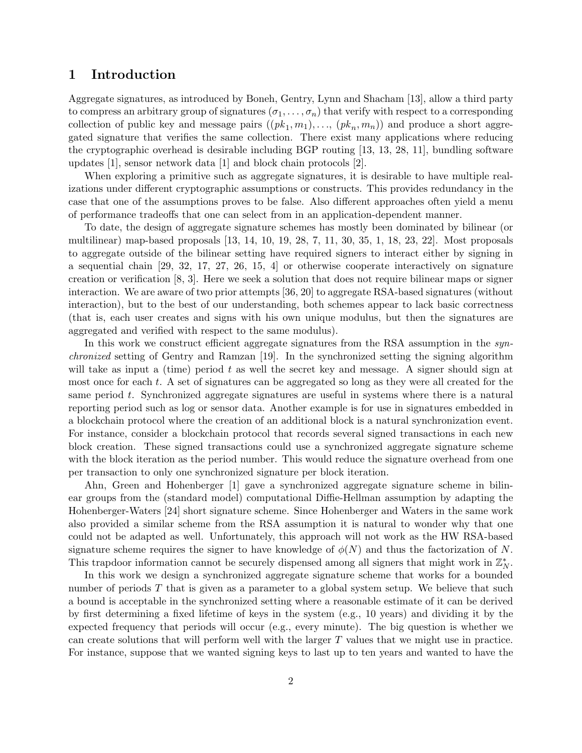### 1 Introduction

Aggregate signatures, as introduced by Boneh, Gentry, Lynn and Shacham [13], allow a third party to compress an arbitrary group of signatures  $(\sigma_1, \ldots, \sigma_n)$  that verify with respect to a corresponding collection of public key and message pairs  $((pk_1, m_1), \ldots, (pk_n, m_n))$  and produce a short aggregated signature that verifies the same collection. There exist many applications where reducing the cryptographic overhead is desirable including BGP routing [13, 13, 28, 11], bundling software updates [1], sensor network data [1] and block chain protocols [2].

When exploring a primitive such as aggregate signatures, it is desirable to have multiple realizations under different cryptographic assumptions or constructs. This provides redundancy in the case that one of the assumptions proves to be false. Also different approaches often yield a menu of performance tradeoffs that one can select from in an application-dependent manner.

To date, the design of aggregate signature schemes has mostly been dominated by bilinear (or multilinear) map-based proposals [13, 14, 10, 19, 28, 7, 11, 30, 35, 1, 18, 23, 22]. Most proposals to aggregate outside of the bilinear setting have required signers to interact either by signing in a sequential chain [29, 32, 17, 27, 26, 15, 4] or otherwise cooperate interactively on signature creation or verification [8, 3]. Here we seek a solution that does not require bilinear maps or signer interaction. We are aware of two prior attempts [36, 20] to aggregate RSA-based signatures (without interaction), but to the best of our understanding, both schemes appear to lack basic correctness (that is, each user creates and signs with his own unique modulus, but then the signatures are aggregated and verified with respect to the same modulus).

In this work we construct efficient aggregate signatures from the RSA assumption in the synchronized setting of Gentry and Ramzan [19]. In the synchronized setting the signing algorithm will take as input a (time) period  $t$  as well the secret key and message. A signer should sign at most once for each t. A set of signatures can be aggregated so long as they were all created for the same period t. Synchronized aggregate signatures are useful in systems where there is a natural reporting period such as log or sensor data. Another example is for use in signatures embedded in a blockchain protocol where the creation of an additional block is a natural synchronization event. For instance, consider a blockchain protocol that records several signed transactions in each new block creation. These signed transactions could use a synchronized aggregate signature scheme with the block iteration as the period number. This would reduce the signature overhead from one per transaction to only one synchronized signature per block iteration.

Ahn, Green and Hohenberger [1] gave a synchronized aggregate signature scheme in bilinear groups from the (standard model) computational Diffie-Hellman assumption by adapting the Hohenberger-Waters [24] short signature scheme. Since Hohenberger and Waters in the same work also provided a similar scheme from the RSA assumption it is natural to wonder why that one could not be adapted as well. Unfortunately, this approach will not work as the HW RSA-based signature scheme requires the signer to have knowledge of  $\phi(N)$  and thus the factorization of N. This trapdoor information cannot be securely dispensed among all signers that might work in  $\mathbb{Z}_N^*$ .

In this work we design a synchronized aggregate signature scheme that works for a bounded number of periods  $T$  that is given as a parameter to a global system setup. We believe that such a bound is acceptable in the synchronized setting where a reasonable estimate of it can be derived by first determining a fixed lifetime of keys in the system (e.g., 10 years) and dividing it by the expected frequency that periods will occur (e.g., every minute). The big question is whether we can create solutions that will perform well with the larger T values that we might use in practice. For instance, suppose that we wanted signing keys to last up to ten years and wanted to have the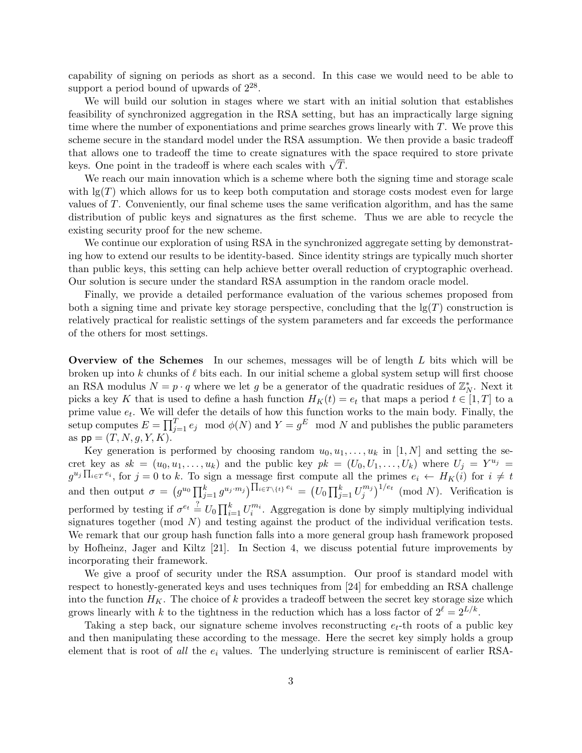capability of signing on periods as short as a second. In this case we would need to be able to support a period bound of upwards of  $2^{28}$ .

We will build our solution in stages where we start with an initial solution that establishes feasibility of synchronized aggregation in the RSA setting, but has an impractically large signing time where the number of exponentiations and prime searches grows linearly with  $T$ . We prove this scheme secure in the standard model under the RSA assumption. We then provide a basic tradeoff that allows one to tradeoff the time to create signatures with the space required to store private that ahows one to tradeoff the time to create signatures with  $\sqrt{T}$ .<br>keys. One point in the tradeoff is where each scales with  $\sqrt{T}$ .

We reach our main innovation which is a scheme where both the signing time and storage scale with  $\lg(T)$  which allows for us to keep both computation and storage costs modest even for large values of T. Conveniently, our final scheme uses the same verification algorithm, and has the same distribution of public keys and signatures as the first scheme. Thus we are able to recycle the existing security proof for the new scheme.

We continue our exploration of using RSA in the synchronized aggregate setting by demonstrating how to extend our results to be identity-based. Since identity strings are typically much shorter than public keys, this setting can help achieve better overall reduction of cryptographic overhead. Our solution is secure under the standard RSA assumption in the random oracle model.

Finally, we provide a detailed performance evaluation of the various schemes proposed from both a signing time and private key storage perspective, concluding that the  $\lg(T)$  construction is relatively practical for realistic settings of the system parameters and far exceeds the performance of the others for most settings.

Overview of the Schemes In our schemes, messages will be of length L bits which will be broken up into k chunks of  $\ell$  bits each. In our initial scheme a global system setup will first choose an RSA modulus  $N = p \cdot q$  where we let g be a generator of the quadratic residues of  $\mathbb{Z}_N^*$ . Next it picks a key K that is used to define a hash function  $H<sub>K</sub>(t) = e<sub>t</sub>$  that maps a period  $t \in [1, T]$  to a prime value  $e_t$ . We will defer the details of how this function works to the main body. Finally, the setup computes  $E = \prod_{j=1}^{T} e_j \mod \phi(N)$  and  $Y = g^E \mod N$  and publishes the public parameters as  $pp = (T, N, g, Y, K)$ .

Key generation is performed by choosing random  $u_0, u_1, \ldots, u_k$  in [1, N] and setting the secret key as  $sk = (u_0, u_1, \ldots, u_k)$  and the public key  $pk = (U_0, U_1, \ldots, U_k)$  where  $U_j = Y^{u_j} =$  $g^{u_j}\Pi_{i\in T}e_i$ , for  $j=0$  to k. To sign a message first compute all the primes  $e_i \leftarrow H_K(i)$  for  $i \neq t$ and then output  $\sigma = (g^{u_0} \prod_{j=1}^k g^{u_j \cdot m_j})^{\prod_{i \in T \setminus \{t\}} e_i} = (U_0 \prod_{j=1}^k U_j^{m_j})^{\prod_{i \in T \setminus \{t\}} e_i}$  $\binom{m_j}{j}^{1/e_t}$  (mod N). Verification is performed by testing if  $\sigma^{e_t} \stackrel{?}{=} U_0 \prod_{i=1}^k U_i^{m_i}$ . Aggregation is done by simply multiplying individual signatures together (mod  $N$ ) and testing against the product of the individual verification tests. We remark that our group hash function falls into a more general group hash framework proposed by Hofheinz, Jager and Kiltz [21]. In Section 4, we discuss potential future improvements by incorporating their framework.

We give a proof of security under the RSA assumption. Our proof is standard model with respect to honestly-generated keys and uses techniques from [24] for embedding an RSA challenge into the function  $H_K$ . The choice of k provides a tradeoff between the secret key storage size which grows linearly with k to the tightness in the reduction which has a loss factor of  $2^{\ell} = 2^{L/k}$ .

Taking a step back, our signature scheme involves reconstructing  $e_t$ -th roots of a public key and then manipulating these according to the message. Here the secret key simply holds a group element that is root of all the  $e_i$  values. The underlying structure is reminiscent of earlier RSA-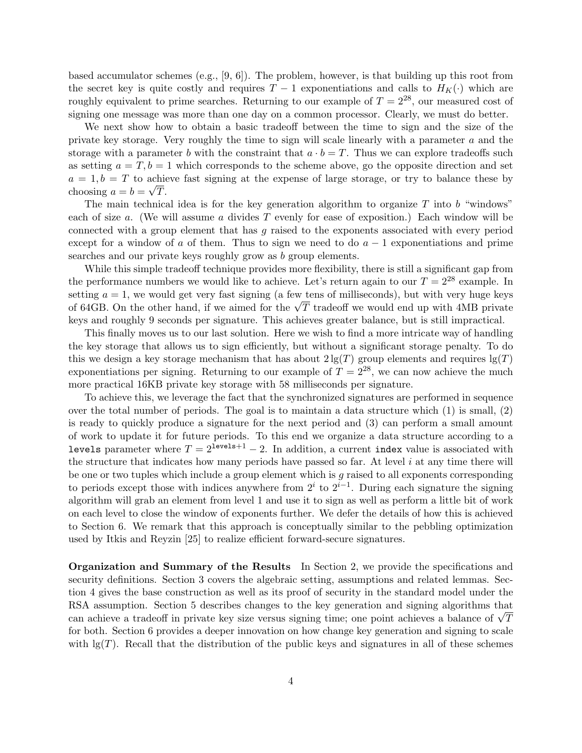based accumulator schemes (e.g., [9, 6]). The problem, however, is that building up this root from the secret key is quite costly and requires  $T - 1$  exponentiations and calls to  $H_K(\cdot)$  which are roughly equivalent to prime searches. Returning to our example of  $T = 2^{28}$ , our measured cost of signing one message was more than one day on a common processor. Clearly, we must do better.

We next show how to obtain a basic tradeoff between the time to sign and the size of the private key storage. Very roughly the time to sign will scale linearly with a parameter a and the storage with a parameter b with the constraint that  $a \cdot b = T$ . Thus we can explore tradeoffs such as setting  $a = T, b = 1$  which corresponds to the scheme above, go the opposite direction and set  $a = 1, b = T$  to achieve fast signing at the expense of large storage, or try to balance these by choosing  $a = b = \sqrt{T}$ .

The main technical idea is for the key generation algorithm to organize  $T$  into  $b$  "windows" each of size  $a$ . (We will assume  $a$  divides  $T$  evenly for ease of exposition.) Each window will be connected with a group element that has g raised to the exponents associated with every period except for a window of a of them. Thus to sign we need to do  $a - 1$  exponentiations and prime searches and our private keys roughly grow as b group elements.

While this simple tradeoff technique provides more flexibility, there is still a significant gap from the performance numbers we would like to achieve. Let's return again to our  $T = 2^{28}$  example. In setting  $a = 1$ , we would get very fast signing (a few tens of milliseconds), but with very huge keys setting  $a = 1$ , we would get very last signing (a lew tens of milliseconds), but with very huge keys<br>of 64GB. On the other hand, if we aimed for the  $\sqrt{T}$  tradeoff we would end up with 4MB private keys and roughly 9 seconds per signature. This achieves greater balance, but is still impractical.

This finally moves us to our last solution. Here we wish to find a more intricate way of handling the key storage that allows us to sign efficiently, but without a significant storage penalty. To do this we design a key storage mechanism that has about  $2\lg(T)$  group elements and requires  $\lg(T)$ exponentiations per signing. Returning to our example of  $T = 2^{28}$ , we can now achieve the much more practical 16KB private key storage with 58 milliseconds per signature.

To achieve this, we leverage the fact that the synchronized signatures are performed in sequence over the total number of periods. The goal is to maintain a data structure which  $(1)$  is small,  $(2)$ is ready to quickly produce a signature for the next period and (3) can perform a small amount of work to update it for future periods. To this end we organize a data structure according to a levels parameter where  $T = 2^{\text{level } s+1} - 2$ . In addition, a current index value is associated with the structure that indicates how many periods have passed so far. At level  $i$  at any time there will be one or two tuples which include a group element which is g raised to all exponents corresponding to periods except those with indices anywhere from  $2^i$  to  $2^{i-1}$ . During each signature the signing algorithm will grab an element from level 1 and use it to sign as well as perform a little bit of work on each level to close the window of exponents further. We defer the details of how this is achieved to Section 6. We remark that this approach is conceptually similar to the pebbling optimization used by Itkis and Reyzin [25] to realize efficient forward-secure signatures.

Organization and Summary of the Results In Section 2, we provide the specifications and security definitions. Section 3 covers the algebraic setting, assumptions and related lemmas. Section 4 gives the base construction as well as its proof of security in the standard model under the RSA assumption. Section 5 describes changes to the key generation and signing algorithms that rt. A assumption. Section 5 describes changes to the key generation and signing algorithms that can achieve a tradeoff in private key size versus signing time; one point achieves a balance of  $\sqrt{T}$ for both. Section 6 provides a deeper innovation on how change key generation and signing to scale with  $\lg(T)$ . Recall that the distribution of the public keys and signatures in all of these schemes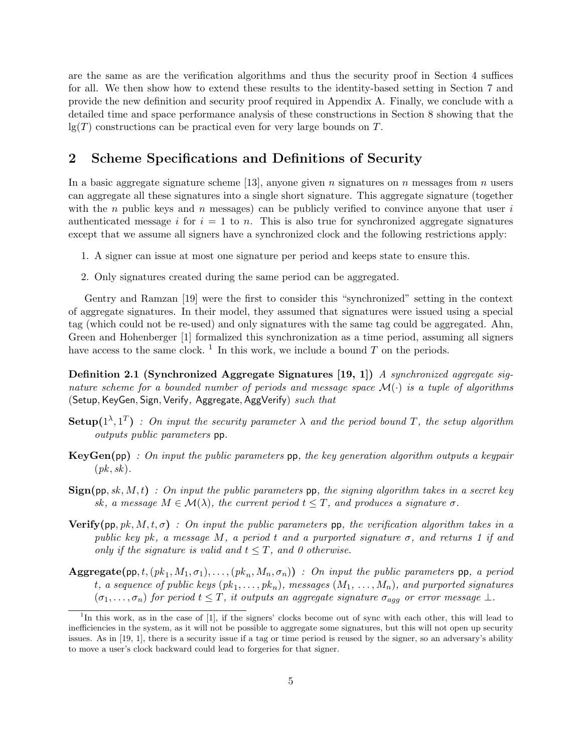are the same as are the verification algorithms and thus the security proof in Section 4 suffices for all. We then show how to extend these results to the identity-based setting in Section 7 and provide the new definition and security proof required in Appendix A. Finally, we conclude with a detailed time and space performance analysis of these constructions in Section 8 showing that the  $\lg(T)$  constructions can be practical even for very large bounds on T.

# 2 Scheme Specifications and Definitions of Security

In a basic aggregate signature scheme [13], anyone given n signatures on n messages from n users can aggregate all these signatures into a single short signature. This aggregate signature (together with the n public keys and n messages) can be publicly verified to convince anyone that user  $i$ authenticated message i for  $i = 1$  to n. This is also true for synchronized aggregate signatures except that we assume all signers have a synchronized clock and the following restrictions apply:

- 1. A signer can issue at most one signature per period and keeps state to ensure this.
- 2. Only signatures created during the same period can be aggregated.

Gentry and Ramzan [19] were the first to consider this "synchronized" setting in the context of aggregate signatures. In their model, they assumed that signatures were issued using a special tag (which could not be re-used) and only signatures with the same tag could be aggregated. Ahn, Green and Hohenberger [1] formalized this synchronization as a time period, assuming all signers have access to the same clock.<sup>1</sup> In this work, we include a bound  $T$  on the periods.

Definition 2.1 (Synchronized Aggregate Signatures [19, 1]) A synchronized aggregate signature scheme for a bounded number of periods and message space  $\mathcal{M}(\cdot)$  is a tuple of algorithms (Setup, KeyGen, Sign, Verify, Aggregate, AggVerify) such that

- **Setup**( $1^{\lambda}, 1^T$ ) : On input the security parameter  $\lambda$  and the period bound T, the setup algorithm outputs public parameters pp.
- $KeyGen(pp)$ : On input the public parameters pp, the key generation algorithm outputs a keypair  $(pk, sk).$
- $\text{Sign}(pp, sk, M, t)$ : On input the public parameters pp, the signing algorithm takes in a secret key sk, a message  $M \in \mathcal{M}(\lambda)$ , the current period  $t \leq T$ , and produces a signature  $\sigma$ .
- **Verify(pp, pk, M, t,**  $\sigma$ **)**: On input the public parameters **pp**, the verification algorithm takes in a public key pk, a message M, a period t and a purported signature  $\sigma$ , and returns 1 if and only if the signature is valid and  $t \leq T$ , and 0 otherwise.
- $\mathrm{Aggregate}(\mathrm{pp}, t, (pk_1, M_1, \sigma_1), \ldots, (pk_n, M_n, \sigma_n))$  : On input the public parameters  $\mathrm{pp}, a$  period t, a sequence of public keys  $(pk_1, \ldots, pk_n)$ , messages  $(M_1, \ldots, M_n)$ , and purported signatures  $(\sigma_1, \ldots, \sigma_n)$  for period  $t \leq T$ , it outputs an aggregate signature  $\sigma_{agg}$  or error message  $\perp$ .

<sup>&</sup>lt;sup>1</sup>In this work, as in the case of [1], if the signers' clocks become out of sync with each other, this will lead to inefficiencies in the system, as it will not be possible to aggregate some signatures, but this will not open up security issues. As in [19, 1], there is a security issue if a tag or time period is reused by the signer, so an adversary's ability to move a user's clock backward could lead to forgeries for that signer.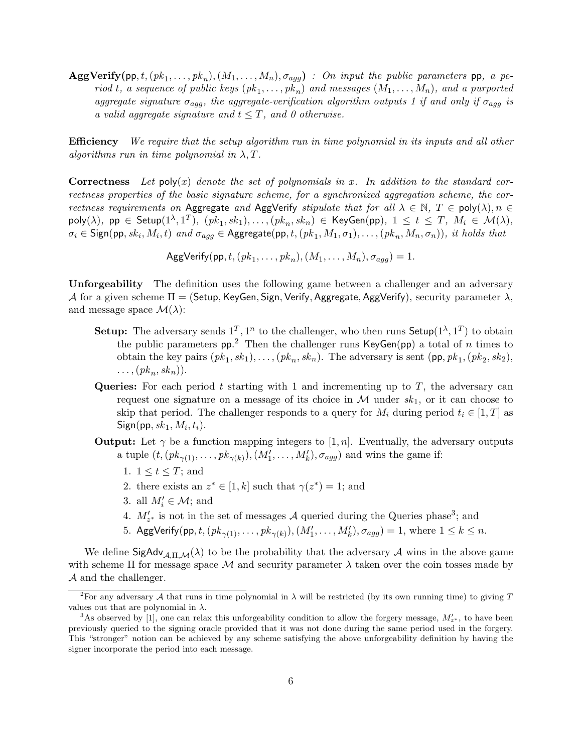$\text{AggVerify}(pp, t, (pk_1, \ldots, pk_n), (M_1, \ldots, M_n), \sigma_{agg})$  : On input the public parameters pp, a period t, a sequence of public keys  $(pk_1, \ldots, pk_n)$  and messages  $(M_1, \ldots, M_n)$ , and a purported aggregate signature  $\sigma_{agg}$ , the aggregate-verification algorithm outputs 1 if and only if  $\sigma_{agg}$  is a valid aggregate signature and  $t \leq T$ , and 0 otherwise.

**Efficiency** We require that the setup algorithm run in time polynomial in its inputs and all other algorithms run in time polynomial in  $\lambda$ , T.

**Correctness** Let poly(x) denote the set of polynomials in x. In addition to the standard correctness properties of the basic signature scheme, for a synchronized aggregation scheme, the correctness requirements on Aggregate and AggVerify stipulate that for all  $\lambda \in \mathbb{N}$ ,  $T \in \text{poly}(\lambda)$ ,  $n \in$  $\mathsf{poly}(\lambda),~\mathsf{pp}~\in~\mathsf{Setup}(1^\lambda,1^T),~ (pk_1,sk_1),\ldots,(pk_n,sk_n)~\in~\mathsf{KeyGen}(\mathsf{pp}),~1~\leq~t~\leq~T,~M_i~\in~\mathcal{M}(\lambda),$  $\sigma_i\in \mathsf{Sign}(\mathsf{pp},\mathit{sk}_i,M_i,t)$  and  $\sigma_{agg}\in \mathsf{Aggregate}(\mathsf{pp},t,(\mathit{pk}_1,M_1,\sigma_1),\ldots,(\mathit{pk}_n,M_n,\sigma_n)),$  it holds that

AggVerify $(\mathsf{pp}, t, (pk_1, \ldots, pk_n), (M_1, \ldots, M_n), \sigma_{agg}) = 1.$ 

Unforgeability The definition uses the following game between a challenger and an adversary A for a given scheme  $\Pi = (Setup, KeyGen, Sign, Verify, Aggregate, AggVerify)$ , security parameter  $\lambda$ , and message space  $\mathcal{M}(\lambda)$ :

- **Setup:** The adversary sends  $1^T$ ,  $1^n$  to the challenger, who then runs  $\mathsf{Setup}(1^{\lambda}, 1^T)$  to obtain the public parameters  $pp^2$  Then the challenger runs KeyGen(pp) a total of n times to obtain the key pairs  $(pk_1, sk_1), \ldots, (pk_n, sk_n)$ . The adversary is sent  $(pp, pk_1, (pk_2, sk_2),$  $\ldots$ ,  $(pk_n, sk_n)).$
- Queries: For each period t starting with 1 and incrementing up to  $T$ , the adversary can request one signature on a message of its choice in  $\mathcal M$  under  $sk_1$ , or it can choose to skip that period. The challenger responds to a query for  $M_i$  during period  $t_i \in [1, T]$  as  $\mathsf{Sign}(\mathsf{pp},\mathit{sk}_1,\allowbreak M_i,\allowbreak t_i).$
- **Output:** Let  $\gamma$  be a function mapping integers to [1, n]. Eventually, the adversary outputs a tuple  $(t, (pk_{\gamma(1)}, \ldots, pk_{\gamma(k)}), (M'_1, \ldots, M'_k), \sigma_{agg})$  and wins the game if:
	- 1.  $1 \le t \le T$ ; and
	- 2. there exists an  $z^* \in [1, k]$  such that  $\gamma(z^*) = 1$ ; and
	- 3. all  $M'_i \in \mathcal{M}$ ; and
	- 4.  $M'_{z^*}$  is not in the set of messages A queried during the Queries phase<sup>3</sup>; and
	- 5. AggVerify(pp,  $t, (pk_{\gamma(1)}, \ldots, pk_{\gamma(k)}), (M'_1, \ldots, M'_k), \sigma_{agg}) = 1$ , where  $1 \leq k \leq n$ .

We define SigAdv<sub>A,Π,M</sub>( $\lambda$ ) to be the probability that the adversary A wins in the above game with scheme  $\Pi$  for message space M and security parameter  $\lambda$  taken over the coin tosses made by  $A$  and the challenger.

<sup>&</sup>lt;sup>2</sup>For any adversary A that runs in time polynomial in  $\lambda$  will be restricted (by its own running time) to giving T values out that are polynomial in  $\lambda$ .

<sup>&</sup>lt;sup>3</sup>As observed by [1], one can relax this unforgeability condition to allow the forgery message,  $M'_{z*}$ , to have been previously queried to the signing oracle provided that it was not done during the same period used in the forgery. This "stronger" notion can be achieved by any scheme satisfying the above unforgeability definition by having the signer incorporate the period into each message.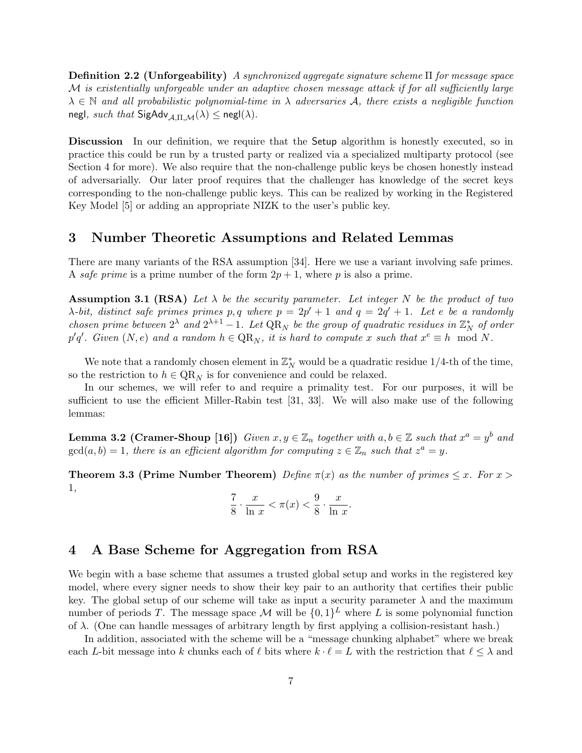**Definition 2.2 (Unforgeability)** A synchronized aggregate signature scheme  $\Pi$  for message space M is existentially unforgeable under an adaptive chosen message attack if for all sufficiently large  $\lambda \in \mathbb{N}$  and all probabilistic polynomial-time in  $\lambda$  adversaries  $\mathcal{A}$ , there exists a negligible function negl, such that  $\text{SigAdv}_{A,\Pi,\mathcal{M}}(\lambda) \le \text{negl}(\lambda)$ .

Discussion In our definition, we require that the Setup algorithm is honestly executed, so in practice this could be run by a trusted party or realized via a specialized multiparty protocol (see Section 4 for more). We also require that the non-challenge public keys be chosen honestly instead of adversarially. Our later proof requires that the challenger has knowledge of the secret keys corresponding to the non-challenge public keys. This can be realized by working in the Registered Key Model [5] or adding an appropriate NIZK to the user's public key.

## 3 Number Theoretic Assumptions and Related Lemmas

There are many variants of the RSA assumption [34]. Here we use a variant involving safe primes. A safe prime is a prime number of the form  $2p + 1$ , where p is also a prime.

**Assumption 3.1 (RSA)** Let  $\lambda$  be the security parameter. Let integer N be the product of two  $\lambda$ -bit, distinct safe primes primes p, q where  $p = 2p' + 1$  and  $q = 2q' + 1$ . Let e be a randomly chosen prime between  $2^{\lambda}$  and  $2^{\lambda+1} - 1$ . Let  $QR_N$  be the group of quadratic residues in  $\mathbb{Z}_N^*$  of order  $p'q'.$  Given  $(N, e)$  and a random  $h \in QR_N$ , it is hard to compute x such that  $x^e \equiv h \mod N$ .

We note that a randomly chosen element in  $\mathbb{Z}_N^*$  would be a quadratic residue 1/4-th of the time, so the restriction to  $h \in QR_N$  is for convenience and could be relaxed.

In our schemes, we will refer to and require a primality test. For our purposes, it will be sufficient to use the efficient Miller-Rabin test [31, 33]. We will also make use of the following lemmas:

**Lemma 3.2 (Cramer-Shoup [16])** Given  $x, y \in \mathbb{Z}_n$  together with  $a, b \in \mathbb{Z}$  such that  $x^a = y^b$  and  $gcd(a, b) = 1$ , there is an efficient algorithm for computing  $z \in \mathbb{Z}_n$  such that  $z^a = y$ .

**Theorem 3.3 (Prime Number Theorem)** Define  $\pi(x)$  as the number of primes  $\leq x$ . For  $x >$ 1,

$$
\frac{7}{8} \cdot \frac{x}{\ln x} < \pi(x) < \frac{9}{8} \cdot \frac{x}{\ln x}
$$

.

# 4 A Base Scheme for Aggregation from RSA

We begin with a base scheme that assumes a trusted global setup and works in the registered key model, where every signer needs to show their key pair to an authority that certifies their public key. The global setup of our scheme will take as input a security parameter  $\lambda$  and the maximum number of periods T. The message space M will be  $\{0,1\}^L$  where L is some polynomial function of  $\lambda$ . (One can handle messages of arbitrary length by first applying a collision-resistant hash.)

In addition, associated with the scheme will be a "message chunking alphabet" where we break each L-bit message into k chunks each of  $\ell$  bits where  $k \cdot \ell = L$  with the restriction that  $\ell \leq \lambda$  and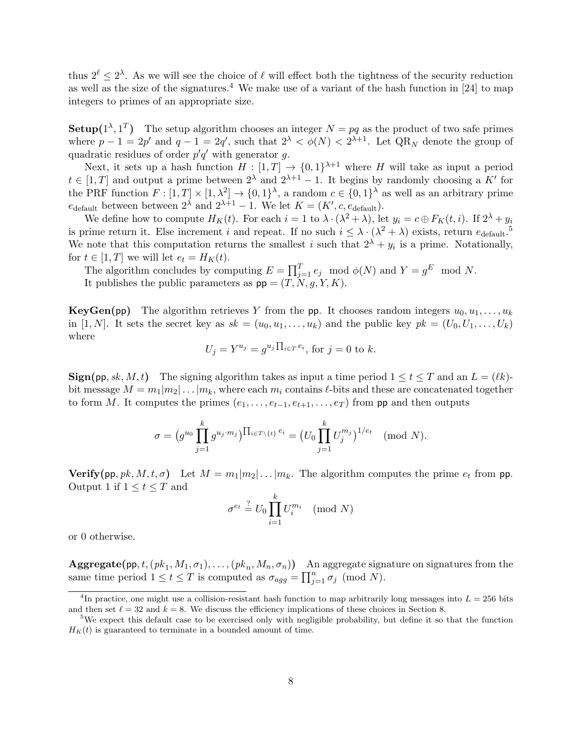thus  $2^{\ell} \leq 2^{\lambda}$ . As we will see the choice of  $\ell$  will effect both the tightness of the security reduction as well as the size of the signatures.<sup>4</sup> We make use of a variant of the hash function in [24] to map integers to primes of an appropriate size.

**Setup**( $1^{\lambda}, 1^T$ ) The setup algorithm chooses an integer  $N = pq$  as the product of two safe primes where  $p-1=2p'$  and  $q-1=2q'$ , such that  $2^{\lambda} < \phi(N) < 2^{\lambda+1}$ . Let  $\text{QR}_N$  denote the group of quadratic residues of order  $p'q'$  with generator g.

Next, it sets up a hash function  $H : [1, T] \to \{0, 1\}^{\lambda+1}$  where H will take as input a period  $t \in [1, T]$  and output a prime between  $2^{\lambda}$  and  $2^{\lambda+1} - 1$ . It begins by randomly choosing a K' for the PRF function  $F: [1, T] \times [1, \lambda^2] \to \{0, 1\}^{\lambda}$ , a random  $c \in \{0, 1\}^{\lambda}$  as well as an arbitrary prime  $e_{\text{default}}$  between between  $2^{\lambda}$  and  $2^{\lambda+1} - 1$ . We let  $K = (K', c, e_{\text{default}})$ .

We define how to compute  $H_K(t)$ . For each  $i = 1$  to  $\lambda \cdot (\lambda^2 + \lambda)$ , let  $y_i = c \oplus F_K(t, i)$ . If  $2^{\lambda} + y_i$ is prime return it. Else increment i and repeat. If no such  $i \leq \lambda \cdot (\lambda^2 + \lambda)$  exists, return  $e_{\text{default}}$ .<sup>5</sup> We note that this computation returns the smallest i such that  $2^{\lambda} + y_i$  is a prime. Notationally, for  $t \in [1, T]$  we will let  $e_t = H_K(t)$ .

The algorithm concludes by computing  $E = \prod_{j=1}^{T} e_j \mod \phi(N)$  and  $Y = g^E \mod N$ . It publishes the public parameters as  $pp = (T, N, g, Y, K)$ .

**KeyGen(pp)** The algorithm retrieves Y from the pp. It chooses random integers  $u_0, u_1, \ldots, u_k$ in [1, N]. It sets the secret key as  $sk = (u_0, u_1, \ldots, u_k)$  and the public key  $pk = (U_0, U_1, \ldots, U_k)$ where

$$
U_j = Y^{u_j} = g^{u_j} \prod_{i \in T} e_i
$$
, for  $j = 0$  to k.

 $\text{Sign}(pp, sk, M, t)$  The signing algorithm takes as input a time period  $1 \le t \le T$  and an  $L = (\ell k)$ bit message  $M = m_1 |m_2| \dots |m_k$ , where each  $m_i$  contains  $\ell$ -bits and these are concatenated together to form M. It computes the primes  $(e_1, \ldots, e_{t-1}, e_{t+1}, \ldots, e_T)$  from pp and then outputs

$$
\sigma = \left(g^{u_0} \prod_{j=1}^k g^{u_j \cdot m_j}\right)^{\prod_{i \in T \setminus \{t\}} e_i} = \left(U_0 \prod_{j=1}^k U_j^{m_j}\right)^{1/e_i} \pmod{N}.
$$

**Verify(pp, pk, M, t,**  $\sigma$ **)** Let  $M = m_1 | m_2 | \dots | m_k$ . The algorithm computes the prime  $e_t$  from pp. Output 1 if  $1 \le t \le T$  and

$$
\sigma^{e_t} \stackrel{?}{=} U_0 \prod_{i=1}^k U_i^{m_i} \pmod{N}
$$

or 0 otherwise.

 $\mathrm{\bf Aggregate}(\mathsf{pp}, t, (pk_1, M_1, \sigma_1), \ldots, (pk_n, M_n, \sigma_n))$  An aggregate signature on signatures from the same time period  $1 \le t \le T$  is computed as  $\sigma_{agg} = \prod_{j=1}^{n} \sigma_j \pmod{N}$ .

<sup>&</sup>lt;sup>4</sup>In practice, one might use a collision-resistant hash function to map arbitrarily long messages into  $L = 256$  bits and then set  $\ell = 32$  and  $k = 8$ . We discuss the efficiency implications of these choices in Section 8.

<sup>&</sup>lt;sup>5</sup>We expect this default case to be exercised only with negligible probability, but define it so that the function  $H_K(t)$  is guaranteed to terminate in a bounded amount of time.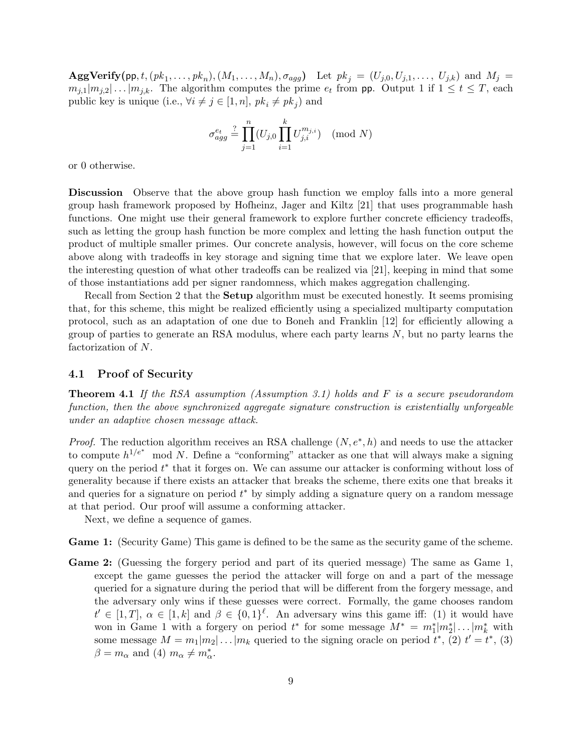$\text{AggVerify}(pp, t, (pk_1, \ldots, pk_n), (M_1, \ldots, M_n), \sigma_{agg})$  Let  $pk_j = (U_{j,0}, U_{j,1}, \ldots, U_{j,k})$  and  $M_j =$  $m_{i,1}|m_{i,2}| \ldots |m_{i,k}$ . The algorithm computes the prime  $e_t$  from pp. Output 1 if  $1 \le t \le T$ , each public key is unique (i.e.,  $\forall i \neq j \in [1, n], \, pk_i \neq pk_j$ ) and

$$
\sigma_{agg}^{e_t} \stackrel{?}{=} \prod_{j=1}^n (U_{j,0} \prod_{i=1}^k U_{j,i}^{m_{j,i}}) \pmod{N}
$$

or 0 otherwise.

Discussion Observe that the above group hash function we employ falls into a more general group hash framework proposed by Hofheinz, Jager and Kiltz [21] that uses programmable hash functions. One might use their general framework to explore further concrete efficiency tradeoffs, such as letting the group hash function be more complex and letting the hash function output the product of multiple smaller primes. Our concrete analysis, however, will focus on the core scheme above along with tradeoffs in key storage and signing time that we explore later. We leave open the interesting question of what other tradeoffs can be realized via [21], keeping in mind that some of those instantiations add per signer randomness, which makes aggregation challenging.

Recall from Section 2 that the **Setup** algorithm must be executed honestly. It seems promising that, for this scheme, this might be realized efficiently using a specialized multiparty computation protocol, such as an adaptation of one due to Boneh and Franklin [12] for efficiently allowing a group of parties to generate an RSA modulus, where each party learns  $N$ , but no party learns the factorization of N.

### 4.1 Proof of Security

**Theorem 4.1** If the RSA assumption (Assumption 3.1) holds and F is a secure pseudorandom function, then the above synchronized aggregate signature construction is existentially unforgeable under an adaptive chosen message attack.

*Proof.* The reduction algorithm receives an RSA challenge  $(N, e^*, h)$  and needs to use the attacker to compute  $h^{1/e^*}$  mod N. Define a "conforming" attacker as one that will always make a signing query on the period  $t^*$  that it forges on. We can assume our attacker is conforming without loss of generality because if there exists an attacker that breaks the scheme, there exits one that breaks it and queries for a signature on period  $t^*$  by simply adding a signature query on a random message at that period. Our proof will assume a conforming attacker.

Next, we define a sequence of games.

Game 1: (Security Game) This game is defined to be the same as the security game of the scheme.

Game 2: (Guessing the forgery period and part of its queried message) The same as Game 1, except the game guesses the period the attacker will forge on and a part of the message queried for a signature during the period that will be different from the forgery message, and the adversary only wins if these guesses were correct. Formally, the game chooses random  $t' \in [1, T], \alpha \in [1, k]$  and  $\beta \in \{0, 1\}^{\ell}$ . An adversary wins this game iff: (1) it would have won in Game 1 with a forgery on period  $t^*$  for some message  $M^* = m_1^* | m_2^* | \dots | m_k^*$  with some message  $M = m_1 | m_2 | \dots | m_k$  queried to the signing oracle on period  $t^*$ , (2)  $t' = t^*$ , (3)  $\beta = m_{\alpha}$  and (4)  $m_{\alpha} \neq m_{\alpha}^*$ .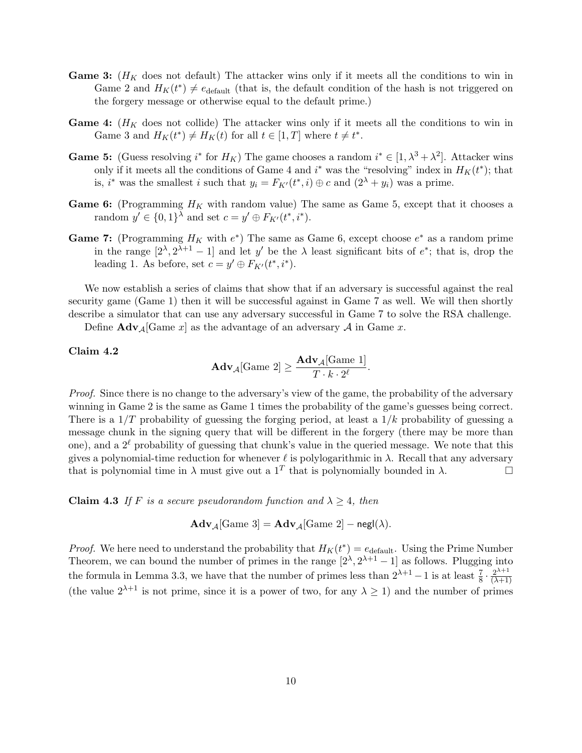- **Game 3:** ( $H_K$  does not default) The attacker wins only if it meets all the conditions to win in Game 2 and  $H_K(t^*) \neq e_{\text{default}}$  (that is, the default condition of the hash is not triggered on the forgery message or otherwise equal to the default prime.)
- Game 4:  $(H_K$  does not collide) The attacker wins only if it meets all the conditions to win in Game 3 and  $H_K(t^*) \neq H_K(t)$  for all  $t \in [1, T]$  where  $t \neq t^*$ .
- **Game 5:** (Guess resolving  $i^*$  for  $H_K$ ) The game chooses a random  $i^* \in [1, \lambda^3 + \lambda^2]$ . Attacker wins only if it meets all the conditions of Game 4 and  $i^*$  was the "resolving" index in  $H_K(t^*)$ ; that is,  $i^*$  was the smallest i such that  $y_i = F_{K'}(t^*, i) \oplus c$  and  $(2^{\lambda} + y_i)$  was a prime.
- **Game 6:** (Programming  $H_K$  with random value) The same as Game 5, except that it chooses a random  $y' \in \{0,1\}^{\lambda}$  and set  $c = y' \oplus F_{K'}(t^*, i^*)$ .
- Game 7: (Programming  $H_K$  with  $e^*$ ) The same as Game 6, except choose  $e^*$  as a random prime in the range  $[2^{\lambda}, 2^{\lambda+1} - 1]$  and let y' be the  $\lambda$  least significant bits of  $e^*$ ; that is, drop the leading 1. As before, set  $c = y' \oplus F_{K'}(t^*, i^*).$

We now establish a series of claims that show that if an adversary is successful against the real security game (Game 1) then it will be successful against in Game 7 as well. We will then shortly describe a simulator that can use any adversary successful in Game 7 to solve the RSA challenge.

Define  $\mathbf{Adv}_{\mathcal{A}}[\text{Game }x]$  as the advantage of an adversary  $\mathcal{A}$  in Game x.

### Claim 4.2

$$
\mathbf{Adv}_{\mathcal{A}}[\text{Game 2}] \geq \frac{\mathbf{Adv}_{\mathcal{A}}[\text{Game 1}]}{T \cdot k \cdot 2^{\ell}}.
$$

Proof. Since there is no change to the adversary's view of the game, the probability of the adversary winning in Game 2 is the same as Game 1 times the probability of the game's guesses being correct. There is a  $1/T$  probability of guessing the forging period, at least a  $1/k$  probability of guessing a message chunk in the signing query that will be different in the forgery (there may be more than one), and a  $2^{\ell}$  probability of guessing that chunk's value in the queried message. We note that this gives a polynomial-time reduction for whenever  $\ell$  is polylogarithmic in  $\lambda$ . Recall that any adversary that is polynomial time in  $\lambda$  must give out a 1<sup>T</sup> that is polynomially bounded in  $\lambda$ .

**Claim 4.3** If F is a secure pseudorandom function and  $\lambda \geq 4$ , then

$$
\mathbf{Adv}_{\mathcal{A}}[\text{Game 3}] = \mathbf{Adv}_{\mathcal{A}}[\text{Game 2}] - \mathsf{negl}(\lambda).
$$

*Proof.* We here need to understand the probability that  $H_K(t^*) = e_{\text{default}}$ . Using the Prime Number Theorem, we can bound the number of primes in the range  $[2^{\lambda}, 2^{\lambda+1} - 1]$  as follows. Plugging into the formula in Lemma 3.3, we have that the number of primes less than  $2^{\lambda+1} - 1$  is at least  $\frac{7}{8} \cdot \frac{2^{\lambda+1}}{(\lambda+1)}$  $(\lambda+1)$ (the value  $2^{\lambda+1}$  is not prime, since it is a power of two, for any  $\lambda \ge 1$ ) and the number of primes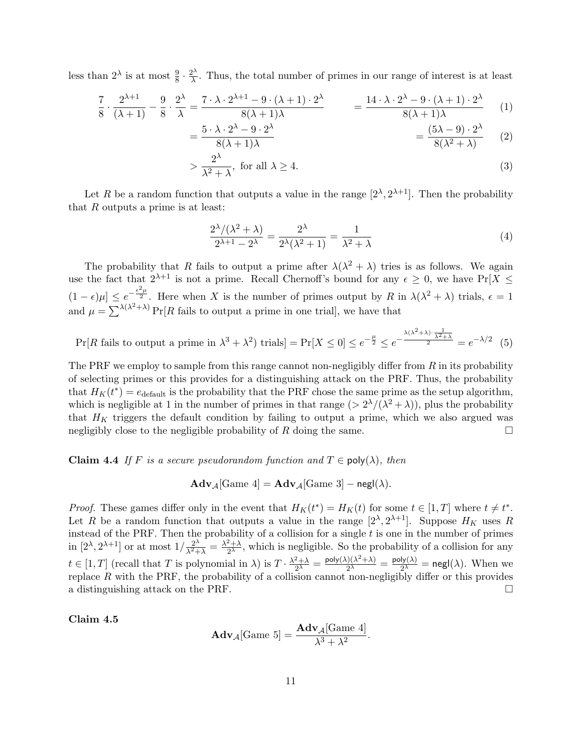less than  $2^{\lambda}$  is at most  $\frac{9}{8} \cdot \frac{2^{\lambda}}{\lambda}$  $\frac{2^{n}}{\lambda}$ . Thus, the total number of primes in our range of interest is at least

$$
\frac{7}{8} \cdot \frac{2^{\lambda+1}}{(\lambda+1)} - \frac{9}{8} \cdot \frac{2^{\lambda}}{\lambda} = \frac{7 \cdot \lambda \cdot 2^{\lambda+1} - 9 \cdot (\lambda+1) \cdot 2^{\lambda}}{8(\lambda+1)\lambda} = \frac{14 \cdot \lambda \cdot 2^{\lambda} - 9 \cdot (\lambda+1) \cdot 2^{\lambda}}{8(\lambda+1)\lambda}
$$
 (1)

$$
= \frac{5 \cdot \lambda \cdot 2^{\lambda} - 9 \cdot 2^{\lambda}}{8(\lambda + 1)\lambda} = \frac{(5\lambda - 9) \cdot 2^{\lambda}}{8(\lambda^2 + \lambda)} \tag{2}
$$

$$
> \frac{2^{\lambda}}{\lambda^2 + \lambda}, \text{ for all } \lambda \ge 4. \tag{3}
$$

Let R be a random function that outputs a value in the range  $[2^{\lambda}, 2^{\lambda+1}]$ . Then the probability that  $R$  outputs a prime is at least:

$$
\frac{2^{\lambda}/(\lambda^2+\lambda)}{2^{\lambda+1}-2^{\lambda}} = \frac{2^{\lambda}}{2^{\lambda}(\lambda^2+1)} = \frac{1}{\lambda^2+\lambda}
$$
\n(4)

The probability that R fails to output a prime after  $\lambda(\lambda^2 + \lambda)$  tries is as follows. We again use the fact that  $2^{\lambda+1}$  is not a prime. Recall Chernoff's bound for any  $\epsilon \geq 0$ , we have Pr[X  $\leq$  $(1-\epsilon)\mu \leq e^{-\frac{\epsilon^2\mu}{2}}$ . Here when X is the number of primes output by R in  $\lambda(\lambda^2+\lambda)$  trials,  $\epsilon=1$ and  $\mu = \sum^{\lambda(\lambda^2 + \lambda)} \Pr[R$  fails to output a prime in one trial, we have that

 $Pr[R \text{ fails to output a prime in } \lambda^3 + \lambda^2) \text{ trials} = Pr[X \le 0] \le e^{-\frac{\mu}{2}} \le e^{-\frac{\lambda(\lambda^2 + \lambda)\cdot\frac{1}{\lambda^2 + \lambda}}{2}} = e^{-\lambda/2}$  $(5)$ 

The PRF we employ to sample from this range cannot non-negligibly differ from  $R$  in its probability of selecting primes or this provides for a distinguishing attack on the PRF. Thus, the probability that  $H_K(t^*) = e_{\text{default}}$  is the probability that the PRF chose the same prime as the setup algorithm, which is negligible at 1 in the number of primes in that range  $(2\lambda/(\lambda^2+\lambda))$ , plus the probability that  $H_K$  triggers the default condition by failing to output a prime, which we also argued was negligibly close to the negligible probability of R doing the same.

**Claim 4.4** If F is a secure pseudorandom function and  $T \in \text{poly}(\lambda)$ , then

$$
\mathbf{Adv}_{\mathcal{A}}[\text{Game 4}] = \mathbf{Adv}_{\mathcal{A}}[\text{Game 3}] - \mathsf{negl}(\lambda).
$$

*Proof.* These games differ only in the event that  $H_K(t^*) = H_K(t)$  for some  $t \in [1, T]$  where  $t \neq t^*$ . Let R be a random function that outputs a value in the range  $[2^{\lambda}, 2^{\lambda+1}]$ . Suppose  $H_K$  uses R instead of the PRF. Then the probability of a collision for a single  $t$  is one in the number of primes in  $[2^{\lambda}, 2^{\lambda+1}]$  or at most  $1/\frac{2^{\lambda}}{\lambda^2+\lambda} = \frac{\lambda^2+\lambda}{2^{\lambda}}$  $\frac{2+\lambda}{2\lambda}$ , which is negligible. So the probability of a collision for any  $t \in [1, T]$  (recall that T is polynomial in  $\lambda$ ) is  $T \cdot \frac{\lambda^2 + \lambda}{2\lambda}$  $\frac{2+\lambda}{2^{\lambda}} = \frac{\mathsf{poly}(\lambda)(\lambda^2+\lambda)}{2^{\lambda}}$  $\frac{\Delta(x^2+\lambda)}{2^{\lambda}} = \frac{poly(\lambda)}{2^{\lambda}}$  $\frac{\log(\lambda)}{2^{\lambda}}$  = negl( $\lambda$ ). When we replace R with the PRF, the probability of a collision cannot non-negligibly differ or this provides a distinguishing attack on the PRF.

Claim 4.5

$$
\mathbf{Adv}_{\mathcal{A}}[\text{Game 5}] = \frac{\mathbf{Adv}_{\mathcal{A}}[\text{Game 4}]}{\lambda^3 + \lambda^2}.
$$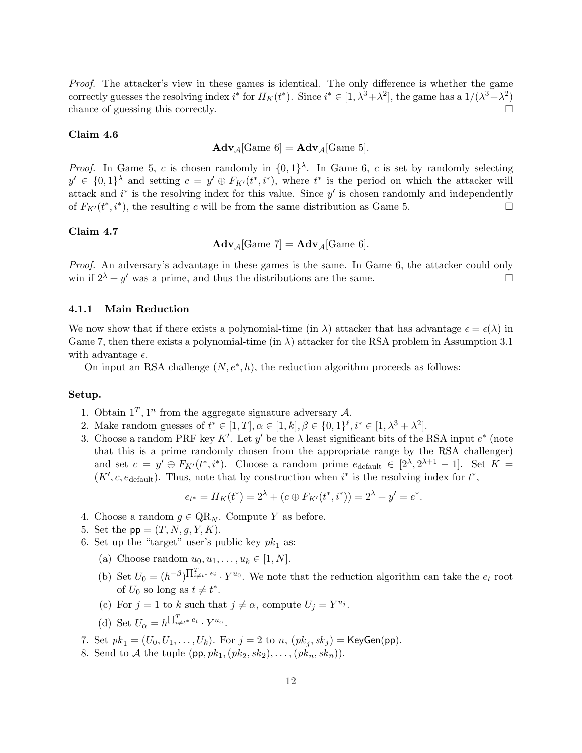Proof. The attacker's view in these games is identical. The only difference is whether the game correctly guesses the resolving index  $i^*$  for  $H_K(t^*)$ . Since  $i^* \in [1, \lambda^3 + \lambda^2]$ , the game has a  $1/(\lambda^3 + \lambda^2)$ chance of guessing this correctly.

#### Claim 4.6

### $\mathbf{Adv}_{\mathcal{A}}[\text{Game 6}] = \mathbf{Adv}_{\mathcal{A}}[\text{Game 5}].$

*Proof.* In Game 5, c is chosen randomly in  $\{0,1\}^{\lambda}$ . In Game 6, c is set by randomly selecting  $y' \in \{0,1\}^{\lambda}$  and setting  $c = y' \oplus F_{K'}(t^*, i^*)$ , where  $t^*$  is the period on which the attacker will attack and  $i^*$  is the resolving index for this value. Since  $y'$  is chosen randomly and independently of  $F_{K'}(t^*, i^*)$ , the resulting c will be from the same distribution as Game 5.

### Claim 4.7

$$
\mathbf{Adv}_{\mathcal{A}}[\text{Game 7}] = \mathbf{Adv}_{\mathcal{A}}[\text{Game 6}].
$$

Proof. An adversary's advantage in these games is the same. In Game 6, the attacker could only win if  $2^{\lambda} + y'$  was a prime, and thus the distributions are the same.

### 4.1.1 Main Reduction

We now show that if there exists a polynomial-time (in  $\lambda$ ) attacker that has advantage  $\epsilon = \epsilon(\lambda)$  in Game 7, then there exists a polynomial-time (in  $\lambda$ ) attacker for the RSA problem in Assumption 3.1 with advantage  $\epsilon$ .

On input an RSA challenge  $(N, e^*, h)$ , the reduction algorithm proceeds as follows:

#### Setup.

- 1. Obtain  $1^T$ ,  $1^n$  from the aggregate signature adversary A.
- 2. Make random guesses of  $t^* \in [1, T], \alpha \in [1, k], \beta \in \{0, 1\}^{\ell}, i^* \in [1, \lambda^3 + \lambda^2]$ .
- 3. Choose a random PRF key K'. Let y' be the  $\lambda$  least significant bits of the RSA input  $e^*$  (note that this is a prime randomly chosen from the appropriate range by the RSA challenger) and set  $c = y' \oplus F_{K'}(t^*, i^*)$ . Choose a random prime  $e_{\text{default}} \in [2^{\lambda}, 2^{\lambda+1} - 1]$ . Set  $K =$  $(K', c, e_{\text{default}})$ . Thus, note that by construction when  $i^*$  is the resolving index for  $t^*$ ,

$$
e_{t^*} = H_K(t^*) = 2^{\lambda} + (c \oplus F_{K'}(t^*, i^*)) = 2^{\lambda} + y' = e^*.
$$

- 4. Choose a random  $g \in QR_N$ . Compute Y as before.
- 5. Set the  $pp = (T, N, g, Y, K)$ .
- 6. Set up the "target" user's public key  $pk_1$  as:
	- (a) Choose random  $u_0, u_1, \ldots, u_k \in [1, N]$ .
	- (b) Set  $U_0 = (h^{-\beta})^{\prod_{i=\ell}^T e_i} \cdot Y^{u_0}$ . We note that the reduction algorithm can take the  $e_t$  root of  $U_0$  so long as  $t \neq t^*$ .
	- (c) For  $j = 1$  to k such that  $j \neq \alpha$ , compute  $U_j = Y^{u_j}$ .
	- (d) Set  $U_{\alpha} = h^{\prod_{i \neq t^*}^T e_i} \cdot Y^{u_{\alpha}}$ .
- 7. Set  $pk_1 = (U_0, U_1, \ldots, U_k)$ . For  $j = 2$  to  $n, (pk_j, sk_j) = \text{KeyGen(pp)}$ .
- 8. Send to A the tuple  $(p, pk_1, (pk_2, sk_2), \ldots, (pk_n, sk_n)).$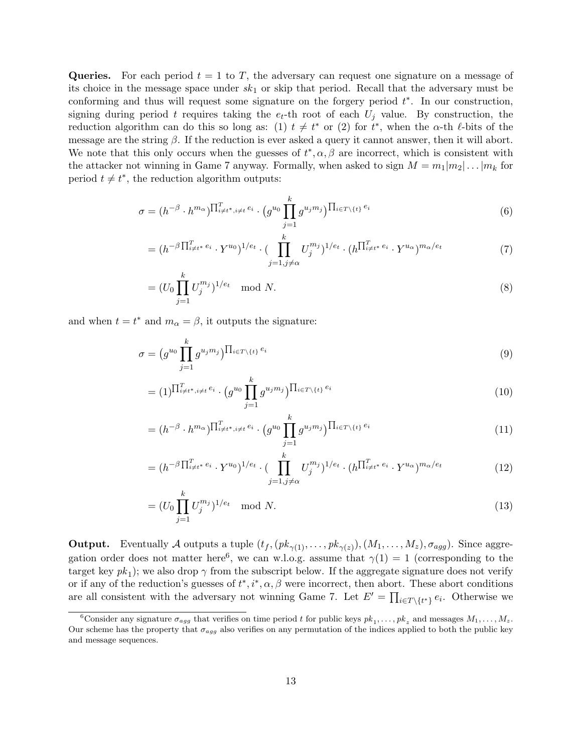**Queries.** For each period  $t = 1$  to T, the adversary can request one signature on a message of its choice in the message space under  $sk_1$  or skip that period. Recall that the adversary must be conforming and thus will request some signature on the forgery period  $t^*$ . In our construction, signing during period t requires taking the  $e_t$ -th root of each  $U_i$  value. By construction, the reduction algorithm can do this so long as: (1)  $t \neq t^*$  or (2) for  $t^*$ , when the  $\alpha$ -th  $\ell$ -bits of the message are the string  $\beta$ . If the reduction is ever asked a query it cannot answer, then it will abort. We note that this only occurs when the guesses of  $t^*, \alpha, \beta$  are incorrect, which is consistent with the attacker not winning in Game 7 anyway. Formally, when asked to sign  $M = m_1|m_2| \dots |m_k$  for period  $t \neq t^*$ , the reduction algorithm outputs:

$$
\sigma = (h^{-\beta} \cdot h^{m_{\alpha}})^{\prod_{i \neq t^*, i \neq t}^T e_i} \cdot (g^{u_0} \prod_{j=1}^k g^{u_j m_j})^{\prod_{i \in T \setminus \{t\}} e_i}
$$
(6)

$$
= (h^{-\beta \prod_{i \neq t^*}^T e_i} \cdot Y^{u_0})^{1/e_t} \cdot (\prod_{j=1, j \neq \alpha}^k U_j^{m_j})^{1/e_t} \cdot (h^{\prod_{i \neq t^*}^T e_i} \cdot Y^{u_\alpha})^{m_\alpha/e_t}
$$
(7)

$$
= (U_0 \prod_{j=1}^k U_j^{m_j})^{1/e_t} \mod N.
$$
 (8)

and when  $t = t^*$  and  $m_\alpha = \beta$ , it outputs the signature:

$$
\sigma = \left(g^{u_0} \prod_{j=1}^k g^{u_j m_j}\right) \prod_{i \in T \setminus \{t\}} e_i \tag{9}
$$

$$
= (1)^{\prod_{i \neq t^*, i \neq t}^{T} e_i} \cdot (g^{u_0} \prod_{j=1}^k g^{u_j m_j})^{\prod_{i \in T \setminus \{t\}} e_i}
$$
\n(10)

$$
= (h^{-\beta} \cdot h^{m_{\alpha}})^{\prod_{i \neq t^*, i \neq t}^T e_i} \cdot (g^{u_0} \prod_{j=1}^k g^{u_j m_j})^{\prod_{i \in T \setminus \{t\}} e_i}
$$
\n
$$
\tag{11}
$$

$$
= (h^{-\beta} \Pi_{i \neq t^*}^T e_i \cdot Y^{u_0})^{1/e_t} \cdot (\prod_{j=1, j \neq \alpha}^k U_j^{m_j})^{1/e_t} \cdot (h^{\prod_{i \neq t^*}^T e_i} \cdot Y^{u_\alpha})^{m_\alpha/e_t}
$$
(12)

$$
= (U_0 \prod_{j=1}^k U_j^{m_j})^{1/e_t} \mod N.
$$
 (13)

**Output.** Eventually A outputs a tuple  $(t_f, (pk_{\gamma(1)}, \ldots, pk_{\gamma(z)}), (M_1, \ldots, M_z), \sigma_{agg})$ . Since aggregation order does not matter here<sup>6</sup>, we can w.l.o.g. assume that  $\gamma(1) = 1$  (corresponding to the target key  $pk_1$ ); we also drop  $\gamma$  from the subscript below. If the aggregate signature does not verify or if any of the reduction's guesses of  $t^*, i^*, \alpha, \beta$  were incorrect, then abort. These abort conditions are all consistent with the adversary not winning Game 7. Let  $E' = \prod_{i \in T \setminus \{t^*\}} e_i$ . Otherwise we

<sup>&</sup>lt;sup>6</sup>Consider any signature  $\sigma_{agg}$  that verifies on time period t for public keys  $pk_1, \ldots, pk_z$  and messages  $M_1, \ldots, M_z$ . Our scheme has the property that  $\sigma_{agg}$  also verifies on any permutation of the indices applied to both the public key and message sequences.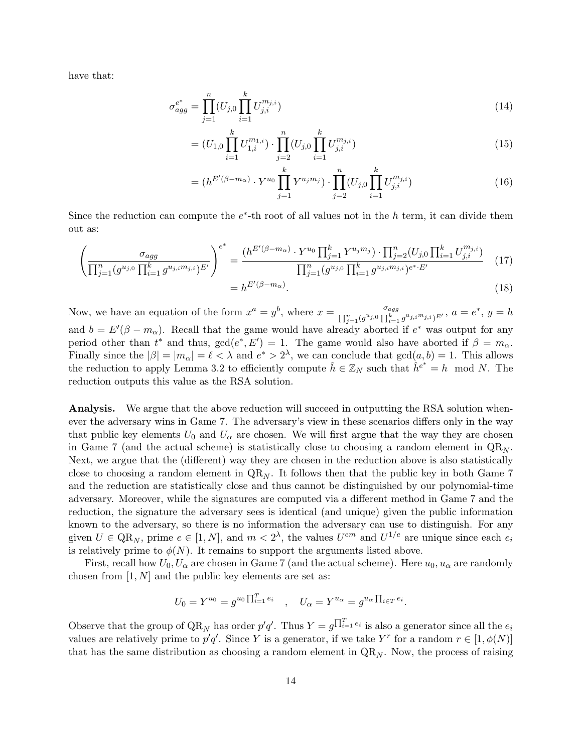have that:

$$
\sigma_{agg}^{e^*} = \prod_{j=1}^n (U_{j,0} \prod_{i=1}^k U_{j,i}^{m_{j,i}})
$$
\n(14)

$$
= (U_{1,0} \prod_{i=1}^{k} U_{1,i}^{m_{1,i}}) \cdot \prod_{j=2}^{n} (U_{j,0} \prod_{i=1}^{k} U_{j,i}^{m_{j,i}})
$$
\n(15)

$$
= (h^{E'(\beta - m_{\alpha})} \cdot Y^{u_0} \prod_{j=1}^{k} Y^{u_j m_j}) \cdot \prod_{j=2}^{n} (U_{j,0} \prod_{i=1}^{k} U_{j,i}^{m_{j,i}})
$$
(16)

Since the reduction can compute the  $e^*$ -th root of all values not in the h term, it can divide them out as:

$$
\left(\frac{\sigma_{agg}}{\prod_{j=1}^{n}(g^{u_{j,0}}\prod_{i=1}^{k}g^{u_{j,i}m_{j,i}})^{E'}}\right)^{e^*} = \frac{(h^{E'(\beta-m_{\alpha})}\cdot Y^{u_0}\prod_{j=1}^{k}Y^{u_jm_j})\cdot \prod_{j=2}^{n}(U_{j,0}\prod_{i=1}^{k}U_{j,i}^{m_{j,i}})}{\prod_{j=1}^{n}(g^{u_{j,0}}\prod_{i=1}^{k}g^{u_{j,i}m_{j,i}})^{e^* \cdot E'}} \tag{17}
$$
\n
$$
= h^{E'(\beta-m_{\alpha})}.
$$

$$
=h^{E'(\beta-m_{\alpha})}.\tag{18}
$$

Now, we have an equation of the form  $x^a = y^b$ , where  $x = \frac{\sigma_{agg}}{\Box^n}$  $\frac{\sigma_{agg}}{\prod_{j=1}^n (g^{u_{j,0}}\prod_{i=1}^k g^{u_{j,i}m_{j,i}})^{E'}} , \, a=e^*,\,y=h$ and  $b = E'(\beta - m_\alpha)$ . Recall that the game would have already aborted if  $e^*$  was output for any period other than  $t^*$  and thus,  $gcd(e^*, E') = 1$ . The game would also have aborted if  $\beta = m_\alpha$ . Finally since the  $|\beta| = |m_{\alpha}| = \ell < \lambda$  and  $e^* > 2^{\lambda}$ , we can conclude that  $gcd(a, b) = 1$ . This allows the reduction to apply Lemma 3.2 to efficiently compute  $\hat{h} \in \mathbb{Z}_N$  such that  $\hat{h}^{e^*} = h \mod N$ . The reduction outputs this value as the RSA solution.

Analysis. We argue that the above reduction will succeed in outputting the RSA solution whenever the adversary wins in Game 7. The adversary's view in these scenarios differs only in the way that public key elements  $U_0$  and  $U_\alpha$  are chosen. We will first argue that the way they are chosen in Game 7 (and the actual scheme) is statistically close to choosing a random element in  $\mathbb{Q}\mathbb{R}_{N}$ . Next, we argue that the (different) way they are chosen in the reduction above is also statistically close to choosing a random element in  $QR_N$ . It follows then that the public key in both Game 7 and the reduction are statistically close and thus cannot be distinguished by our polynomial-time adversary. Moreover, while the signatures are computed via a different method in Game 7 and the reduction, the signature the adversary sees is identical (and unique) given the public information known to the adversary, so there is no information the adversary can use to distinguish. For any given  $U \in \mathrm{QR}_N$ , prime  $e \in [1, N]$ , and  $m < 2^{\lambda}$ , the values  $U^{em}$  and  $U^{1/e}$  are unique since each  $e_i$ is relatively prime to  $\phi(N)$ . It remains to support the arguments listed above.

First, recall how  $U_0$ ,  $U_\alpha$  are chosen in Game 7 (and the actual scheme). Here  $u_0$ ,  $u_\alpha$  are randomly chosen from  $[1, N]$  and the public key elements are set as:

$$
U_0 = Y^{u_0} = g^{u_0} \prod_{i=1}^T e_i \quad , \quad U_\alpha = Y^{u_\alpha} = g^{u_\alpha} \prod_{i \in T} e_i.
$$

Observe that the group of  $QR_N$  has order  $p'q'$ . Thus  $Y = g^{\prod_{i=1}^{T} e_i}$  is also a generator since all the  $e_i$ values are relatively prime to  $p'q'$ . Since Y is a generator, if we take Y<sup>r</sup> for a random  $r \in [1, \phi(N)]$ that has the same distribution as choosing a random element in  $\mathbb{QR}_N$ . Now, the process of raising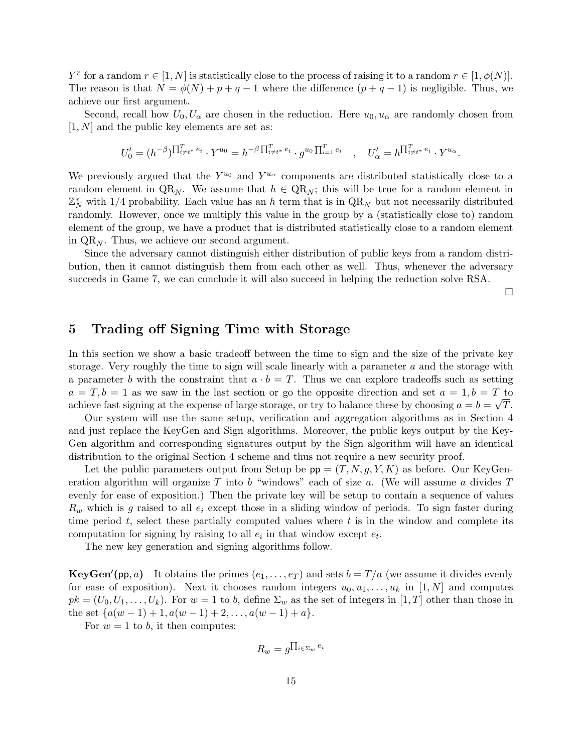Y<sup>r</sup> for a random  $r \in [1, N]$  is statistically close to the process of raising it to a random  $r \in [1, \phi(N)]$ . The reason is that  $N = \phi(N) + p + q - 1$  where the difference  $(p + q - 1)$  is negligible. Thus, we achieve our first argument.

Second, recall how  $U_0$ ,  $U_\alpha$  are chosen in the reduction. Here  $u_0$ ,  $u_\alpha$  are randomly chosen from  $[1, N]$  and the public key elements are set as:

$$
U_0' = (h^{-\beta})^{\prod_{i \neq t^*}^T e_i} \cdot Y^{u_0} = h^{-\beta \prod_{i \neq t^*}^T e_i} \cdot g^{u_0 \prod_{i=1}^T e_i} \quad , \quad U_\alpha' = h^{\prod_{i \neq t^*}^T e_i} \cdot Y^{u_\alpha}.
$$

We previously argued that the  $Y^{u_0}$  and  $Y^{u_\alpha}$  components are distributed statistically close to a random element in  $QR_N$ . We assume that  $h \in QR_N$ ; this will be true for a random element in  $\mathbb{Z}_N^*$  with 1/4 probability. Each value has an h term that is in  $\mathbb{QR}_N$  but not necessarily distributed randomly. However, once we multiply this value in the group by a (statistically close to) random element of the group, we have a product that is distributed statistically close to a random element in  $QR_N$ . Thus, we achieve our second argument.

Since the adversary cannot distinguish either distribution of public keys from a random distribution, then it cannot distinguish them from each other as well. Thus, whenever the adversary succeeds in Game 7, we can conclude it will also succeed in helping the reduction solve RSA.

 $\Box$ 

# 5 Trading off Signing Time with Storage

In this section we show a basic tradeoff between the time to sign and the size of the private key storage. Very roughly the time to sign will scale linearly with a parameter a and the storage with a parameter b with the constraint that  $a \cdot b = T$ . Thus we can explore tradeoffs such as setting  $a = T, b = 1$  as we saw in the last section or go the opposite direction and set  $a = 1, b = T$  to achieve fast signing at the expense of large storage, or try to balance these by choosing  $a = b = \sqrt{T}$ .

Our system will use the same setup, verification and aggregation algorithms as in Section 4 and just replace the KeyGen and Sign algorithms. Moreover, the public keys output by the Key-Gen algorithm and corresponding signatures output by the Sign algorithm will have an identical distribution to the original Section 4 scheme and thus not require a new security proof.

Let the public parameters output from Setup be  $pp = (T, N, g, Y, K)$  as before. Our KeyGeneration algorithm will organize T into b "windows" each of size a. (We will assume a divides  $T$ evenly for ease of exposition.) Then the private key will be setup to contain a sequence of values  $R_w$  which is g raised to all  $e_i$  except those in a sliding window of periods. To sign faster during time period  $t$ , select these partially computed values where  $t$  is in the window and complete its computation for signing by raising to all  $e_i$  in that window except  $e_t$ .

The new key generation and signing algorithms follow.

**KeyGen'**(pp, a) It obtains the primes  $(e_1, \ldots, e_T)$  and sets  $b = T/a$  (we assume it divides evenly for ease of exposition). Next it chooses random integers  $u_0, u_1, \ldots, u_k$  in [1, N] and computes  $pk = (U_0, U_1, \ldots, U_k)$ . For  $w = 1$  to b, define  $\Sigma_w$  as the set of integers in  $[1, T]$  other than those in the set  $\{a(w-1)+1, a(w-1)+2, \ldots, a(w-1)+a\}.$ 

For  $w = 1$  to b, it then computes:

$$
R_w = g^{\prod_{i \in \Sigma_w} e_i}
$$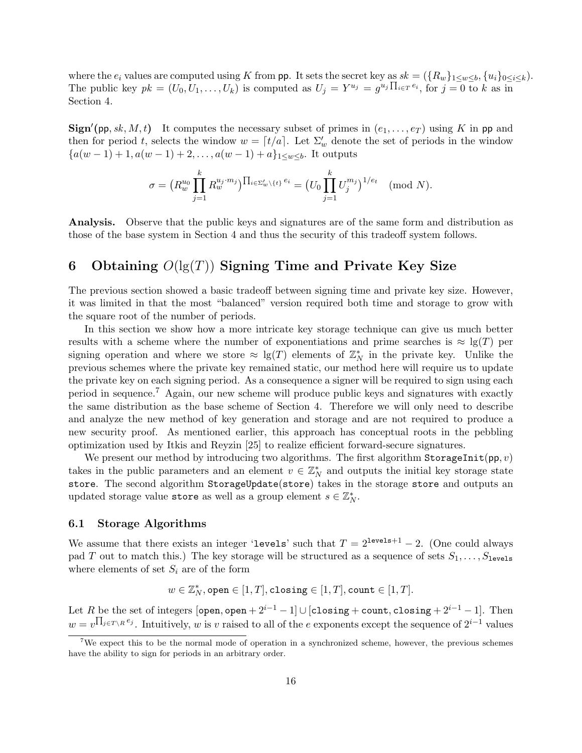where the  $e_i$  values are computed using K from pp. It sets the secret key as  $sk = (\{R_w\}_{1\leq w\leq b}, \{u_i\}_{0\leq i\leq k}).$ The public key  $pk = (U_0, U_1, \ldots, U_k)$  is computed as  $U_j = Y^{u_j} = g^{u_j} \prod_{i \in T} e_i$ , for  $j = 0$  to k as in Section 4.

 $\textbf{Sign}'(pp, sk, M, t)$  It computes the necessary subset of primes in  $(e_1, \ldots, e_T)$  using K in pp and then for period t, selects the window  $w = \lfloor t/a \rfloor$ . Let  $\Sigma'_{w}$  denote the set of periods in the window  ${a(w-1)+1, a(w-1)+2,..., a(w-1)+a\}_{1\leq w\leq b}$ . It outputs

$$
\sigma = \left(R_w^{u_0} \prod_{j=1}^k R_w^{u_j \cdot m_j}\right) \prod_{i \in \Sigma_w' \setminus \{t\}} e_i = \left(U_0 \prod_{j=1}^k U_j^{m_j}\right)^{1/e_t} \pmod{N}.
$$

Analysis. Observe that the public keys and signatures are of the same form and distribution as those of the base system in Section 4 and thus the security of this tradeoff system follows.

# 6 Obtaining  $O(\lg(T))$  Signing Time and Private Key Size

The previous section showed a basic tradeoff between signing time and private key size. However, it was limited in that the most "balanced" version required both time and storage to grow with the square root of the number of periods.

In this section we show how a more intricate key storage technique can give us much better results with a scheme where the number of exponentiations and prime searches is  $\approx \lg(T)$  per signing operation and where we store  $\approx \lg(T)$  elements of  $\mathbb{Z}_N^*$  in the private key. Unlike the previous schemes where the private key remained static, our method here will require us to update the private key on each signing period. As a consequence a signer will be required to sign using each period in sequence.<sup>7</sup> Again, our new scheme will produce public keys and signatures with exactly the same distribution as the base scheme of Section 4. Therefore we will only need to describe and analyze the new method of key generation and storage and are not required to produce a new security proof. As mentioned earlier, this approach has conceptual roots in the pebbling optimization used by Itkis and Reyzin [25] to realize efficient forward-secure signatures.

We present our method by introducing two algorithms. The first algorithm  $\texttt{StorageInit}(pp, v)$ takes in the public parameters and an element  $v \in \mathbb{Z}_N^*$  and outputs the initial key storage state store. The second algorithm StorageUpdate(store) takes in the storage store and outputs an updated storage value store as well as a group element  $s \in \mathbb{Z}_N^*$ .

#### 6.1 Storage Algorithms

We assume that there exists an integer 'levels' such that  $T = 2^{\text{level } s+1} - 2$ . (One could always pad T out to match this.) The key storage will be structured as a sequence of sets  $S_1, \ldots, S_{\text{levels}}$ where elements of set  $S_i$  are of the form

$$
w\in\mathbb{Z}_N^*, \text{open}\in[1,T], \text{closing}\in[1,T], \text{count}\in[1,T].
$$

Let R be the set of integers  $[open, open + 2^{i-1} - 1] \cup [closing + count, closing + 2^{i-1} - 1]$ . Then  $w = v^{\prod_{j \in T \setminus R} e_j}$ . Intuitively, w is v raised to all of the e exponents except the sequence of  $2^{i-1}$  values

<sup>&</sup>lt;sup>7</sup>We expect this to be the normal mode of operation in a synchronized scheme, however, the previous schemes have the ability to sign for periods in an arbitrary order.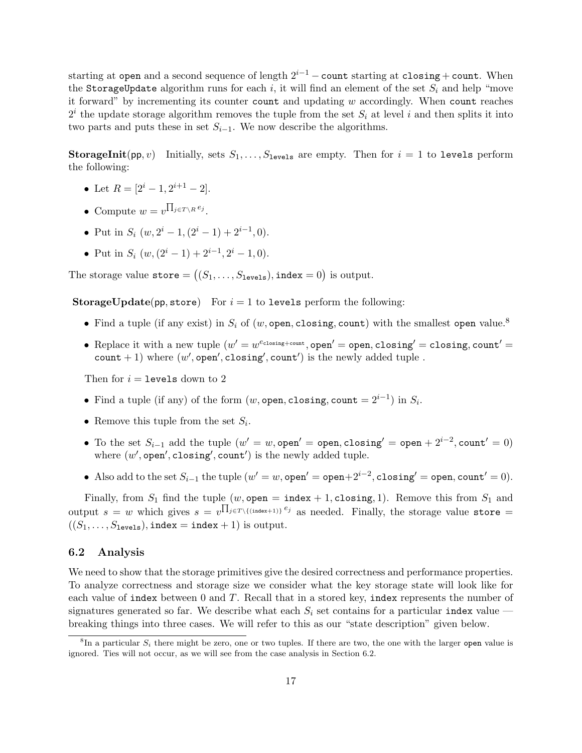starting at open and a second sequence of length  $2^{i-1}$  – count starting at closing + count. When the StorageUpdate algorithm runs for each  $i$ , it will find an element of the set  $S_i$  and help "move it forward" by incrementing its counter count and updating  $w$  accordingly. When count reaches  $2^i$  the update storage algorithm removes the tuple from the set  $S_i$  at level i and then splits it into two parts and puts these in set  $S_{i-1}$ . We now describe the algorithms.

**StorageInit**(pp, v) Initially, sets  $S_1, \ldots, S_{\text{levels}}$  are empty. Then for  $i = 1$  to levels perform the following:

- Let  $R = [2^i 1, 2^{i+1} 2].$
- Compute  $w = v^{\prod_{j \in T \setminus R} e_j}$ .
- Put in  $S_i$   $(w, 2^i 1, (2^i 1) + 2^{i-1}, 0)$ .
- Put in  $S_i$   $(w, (2^i 1) + 2^{i-1}, 2^i 1, 0)$ .

The storage value  $\texttt{store} = ((S_1, \ldots, S_{\texttt{levels}}), \texttt{index} = 0)$  is output.

**StorageUpdate(pp, store)** For  $i = 1$  to levels perform the following:

- Find a tuple (if any exist) in  $S_i$  of (w, open, closing, count) with the smallest open value.<sup>8</sup>
- Replace it with a new tuple  $(w' = w^{e_{\text{closure}} + \text{count}})$ , open' = open, closing' = closing, count' =  $count + 1$ ) where  $(w', open', closing', count')$  is the newly added tuple.

Then for  $i = 1$ evels down to 2

- Find a tuple (if any) of the form  $(w, \text{open}, \text{closing}, \text{count} = 2^{i-1})$  in  $S_i$ .
- Remove this tuple from the set  $S_i$ .
- To the set  $S_{i-1}$  add the tuple  $(w' = w, \text{open}' = \text{open}, \text{closing}' = \text{open} + 2^{i-2}, \text{count}' = 0)$ where  $(w', \text{open}', \text{closing}', \text{count}')$  is the newly added tuple.
- Also add to the set  $S_{i-1}$  the tuple  $(w' = w, \text{open}' = \text{open} + 2^{i-2}, \text{closing}' = \text{open}, \text{count}' = 0)$ .

Finally, from  $S_1$  find the tuple  $(w, \text{open} = \text{index} + 1, \text{closing}, 1)$ . Remove this from  $S_1$  and output  $s = w$  which gives  $s = v^{\prod_{j \in T \setminus \{(\text{index}+1)\}} e_j}$  as needed. Finally, the storage value store  $=$  $((S_1, \ldots, S_{\text{levels}}), \text{index} = \text{index} + 1)$  is output.

### 6.2 Analysis

We need to show that the storage primitives give the desired correctness and performance properties. To analyze correctness and storage size we consider what the key storage state will look like for each value of index between 0 and  $T$ . Recall that in a stored key, index represents the number of signatures generated so far. We describe what each  $S_i$  set contains for a particular index value breaking things into three cases. We will refer to this as our "state description" given below.

 ${}^{8}$ In a particular  $S_i$  there might be zero, one or two tuples. If there are two, the one with the larger open value is ignored. Ties will not occur, as we will see from the case analysis in Section 6.2.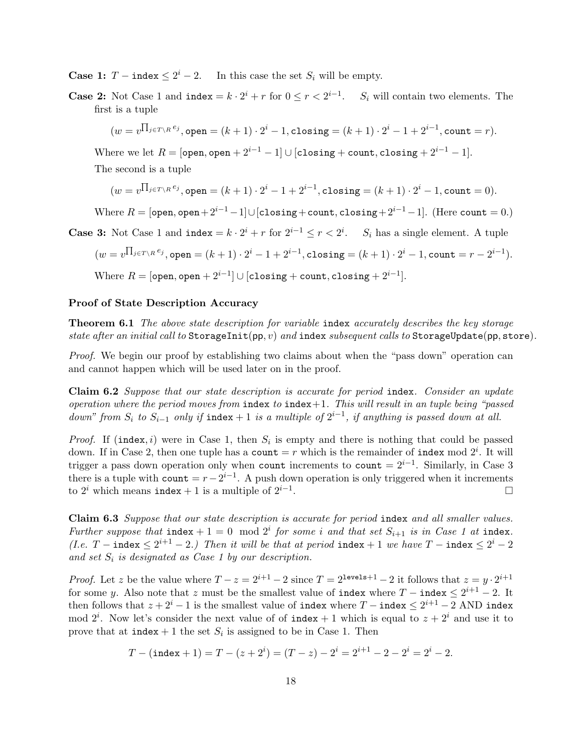**Case 1:**  $T - \text{index} \leq 2^i - 2$ . In this case the set  $S_i$  will be empty.

**Case 2:** Not Case 1 and  $\text{index} = k \cdot 2^i + r$  for  $0 \le r < 2^{i-1}$ .  $S_i$  will contain two elements. The first is a tuple

 $(w=v^{\prod_{j\in T\backslash R}e_j},\mathtt{open}=(k+1)\cdot 2^i-1,\mathtt{closing}=(k+1)\cdot 2^i-1+2^{i-1},\mathtt{count}=r).$ 

Where we let  $R = [\text{open}, \text{open} + 2^{i-1} - 1] \cup [\text{closing} + \text{count}, \text{closing} + 2^{i-1} - 1].$ 

The second is a tuple

$$
(w = v^{\prod_{j \in T \setminus R} e_j}, \text{open} = (k+1) \cdot 2^i - 1 + 2^{i-1}, \text{closing} = (k+1) \cdot 2^i - 1, \text{count} = 0).
$$

Where  $R = [\text{open}, \text{open} + 2^{i-1} - 1] \cup [\text{closure} + \text{count}, \text{closure} + 2^{i-1} - 1]$ . (Here count = 0.)

**Case 3:** Not Case 1 and  $\text{index} = k \cdot 2^i + r$  for  $2^{i-1} \le r < 2^i$ .  $S_i$  has a single element. A tuple

$$
(w = v^{\prod_{j \in T \setminus R} e_j}, \text{open} = (k+1) \cdot 2^i - 1 + 2^{i-1}, \text{closing} = (k+1) \cdot 2^i - 1, \text{count} = r - 2^{i-1}).
$$

Where  $R = [\texttt{open}, \texttt{open} + 2^{i-1}] \cup [\texttt{closing} + \texttt{count}, \texttt{closing} + 2^{i-1}].$ 

#### Proof of State Description Accuracy

Theorem 6.1 The above state description for variable index accurately describes the key storage state after an initial call to  $\text{StorageInit}(pp, v)$  and index subsequent calls to  $\text{StorageUpdate}(pp, \text{store})$ .

Proof. We begin our proof by establishing two claims about when the "pass down" operation can and cannot happen which will be used later on in the proof.

Claim 6.2 Suppose that our state description is accurate for period index. Consider an update operation where the period moves from index to index  $+1$ . This will result in an tuple being "passed" down" from  $S_i$  to  $S_{i-1}$  only if index + 1 is a multiple of  $2^{i-1}$ , if anything is passed down at all.

*Proof.* If (index, i) were in Case 1, then  $S_i$  is empty and there is nothing that could be passed down. If in Case 2, then one tuple has a count  $=r$  which is the remainder of index mod  $2^i$ . It will trigger a pass down operation only when count increments to count  $= 2^{i-1}$ . Similarly, in Case 3 there is a tuple with count  $=r-2^{i-1}$ . A push down operation is only triggered when it increments to  $2^i$  which means index + 1 is a multiple of  $2^{i-1}$ . .

Claim 6.3 Suppose that our state description is accurate for period index and all smaller values. Further suppose that index + 1 = 0 mod  $2^i$  for some i and that set  $S_{i+1}$  is in Case 1 at index. (I.e. T – index  $\leq 2^{i+1}$  – 2.) Then it will be that at period index + 1 we have T – index  $\leq 2^i$  – 2 and set  $S_i$  is designated as Case 1 by our description.

*Proof.* Let z be the value where  $T - z = 2^{i+1} - 2$  since  $T = 2^{\text{levels+1}} - 2$  it follows that  $z = y \cdot 2^{i+1}$ for some y. Also note that z must be the smallest value of index where  $T$  – index  $\leq 2^{i+1}$  – 2. It then follows that  $z + 2^i - 1$  is the smallest value of index where  $T -$  index  $\leq 2^{i+1} - 2$  AND index mod  $2^i$ . Now let's consider the next value of of index + 1 which is equal to  $z + 2^i$  and use it to prove that at  $index + 1$  the set  $S_i$  is assigned to be in Case 1. Then

$$
T-(\mathtt{index}+1)=T-(z+2^i)=(T-z)-2^i=2^{i+1}-2-2^i=2^i-2.
$$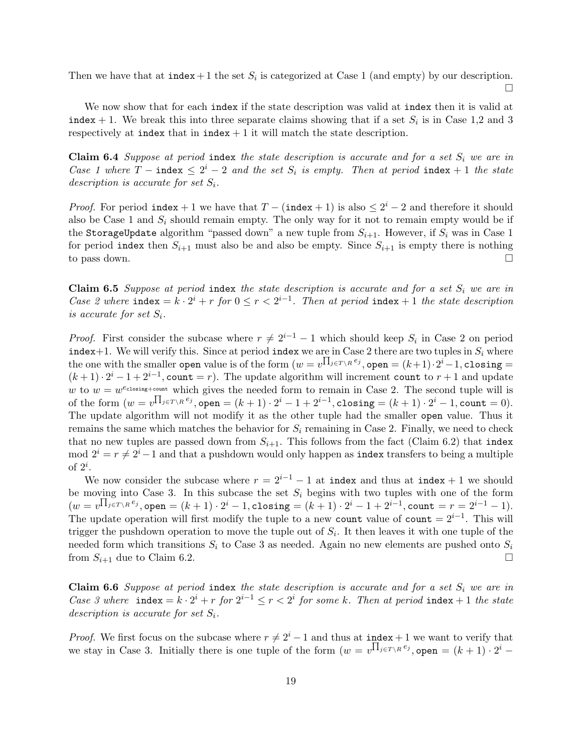Then we have that at  $index + 1$  the set  $S_i$  is categorized at Case 1 (and empty) by our description.  $\Box$ 

We now show that for each **index** if the state description was valid at **index** then it is valid at index + 1. We break this into three separate claims showing that if a set  $S_i$  is in Case 1,2 and 3 respectively at index that in index  $+1$  it will match the state description.

**Claim 6.4** Suppose at period index the state description is accurate and for a set  $S_i$  we are in Case 1 where  $T$  – index  $\leq 2^{i}$  – 2 and the set  $S_i$  is empty. Then at period index + 1 the state description is accurate for set  $S_i$ .

*Proof.* For period index + 1 we have that  $T - (\text{index} + 1)$  is also  $\leq 2^{i} - 2$  and therefore it should also be Case 1 and  $S_i$  should remain empty. The only way for it not to remain empty would be if the StorageUpdate algorithm "passed down" a new tuple from  $S_{i+1}$ . However, if  $S_i$  was in Case 1 for period index then  $S_{i+1}$  must also be and also be empty. Since  $S_{i+1}$  is empty there is nothing to pass down.

Claim 6.5 Suppose at period index the state description is accurate and for a set  $S_i$  we are in Case 2 where  $\texttt{index} = k \cdot 2^i + r$  for  $0 \le r < 2^{i-1}$ . Then at period  $\texttt{index} + 1$  the state description is accurate for set  $S_i$ .

*Proof.* First consider the subcase where  $r \neq 2^{i-1} - 1$  which should keep  $S_i$  in Case 2 on period index +1. We will verify this. Since at period index we are in Case 2 there are two tuples in  $S_i$  where the one with the smaller open value is of the form  $(w = v^{\prod_{j \in T \setminus R} e_j},$  open  $=(k+1) \cdot 2^{i} - 1$ , closing  $=$  $(k+1) \cdot 2^{i} - 1 + 2^{i-1}$ , count = r). The update algorithm will increment count to  $r+1$  and update w to  $w = w^{e_{\text{closing}} + \text{count}}$  which gives the needed form to remain in Case 2. The second tuple will is of the form  $(w = v^{\prod_{j \in T \setminus R} e_j},$   $\texttt{open} = (k+1) \cdot 2^i - 1 + 2^{i-1}, \texttt{closing} = (k+1) \cdot 2^i - 1, \texttt{count} = 0).$ The update algorithm will not modify it as the other tuple had the smaller open value. Thus it remains the same which matches the behavior for  $S_i$  remaining in Case 2. Finally, we need to check that no new tuples are passed down from  $S_{i+1}$ . This follows from the fact (Claim 6.2) that index mod  $2^{i} = r \neq 2^{i}-1$  and that a pushdown would only happen as index transfers to being a multiple of  $2^i$ .

We now consider the subcase where  $r = 2^{i-1} - 1$  at index and thus at index + 1 we should be moving into Case 3. In this subcase the set  $S_i$  begins with two tuples with one of the form  $(w=v^{\prod_{j\in T\backslash R}e_j},\text{open}=(k+1)\cdot 2^i-1,\text{closing}=(k+1)\cdot 2^i-1+2^{i-1},\text{count}=r=2^{i-1}-1).$ The update operation will first modify the tuple to a new count value of count  $= 2^{i-1}$ . This will trigger the pushdown operation to move the tuple out of  $S_i$ . It then leaves it with one tuple of the needed form which transitions  $S_i$  to Case 3 as needed. Again no new elements are pushed onto  $S_i$ from  $S_{i+1}$  due to Claim 6.2.

Claim 6.6 Suppose at period index the state description is accurate and for a set  $S_i$  we are in Case 3 where  $index = k \cdot 2^{i} + r$  for  $2^{i-1} \le r < 2^{i}$  for some k. Then at period index + 1 the state description is accurate for set  $S_i$ .

*Proof.* We first focus on the subcase where  $r \neq 2^{i} - 1$  and thus at index + 1 we want to verify that we stay in Case 3. Initially there is one tuple of the form  $(w = v^{\prod_{j \in T \setminus R} e_j},$  open  $= (k + 1) \cdot 2^i$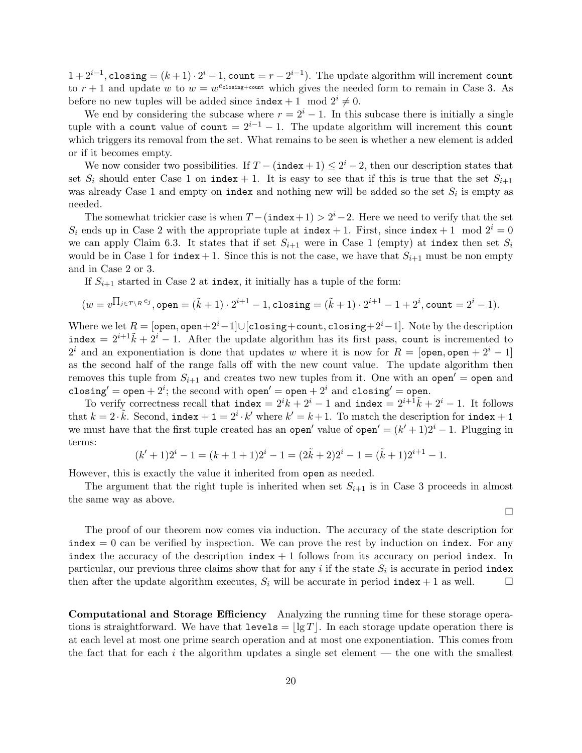$1+2^{i-1}$ , closing =  $(k+1) \cdot 2^i - 1$ , count =  $r - 2^{i-1}$ ). The update algorithm will increment count to  $r + 1$  and update w to  $w = w^{e_{\text{closure}} + \text{count}}$  which gives the needed form to remain in Case 3. As before no new tuples will be added since  $\texttt{index} + 1 \mod 2^i \neq 0$ .

We end by considering the subcase where  $r = 2^{i} - 1$ . In this subcase there is initially a single tuple with a count value of count =  $2^{i-1} - 1$ . The update algorithm will increment this count which triggers its removal from the set. What remains to be seen is whether a new element is added or if it becomes empty.

We now consider two possibilities. If  $T - (\text{index} + 1) \le 2^{i} - 2$ , then our description states that set  $S_i$  should enter Case 1 on index + 1. It is easy to see that if this is true that the set  $S_{i+1}$ was already Case 1 and empty on index and nothing new will be added so the set  $S_i$  is empty as needed.

The somewhat trickier case is when  $T - (\text{index} + 1) > 2^{i} - 2$ . Here we need to verify that the set  $S_i$  ends up in Case 2 with the appropriate tuple at index + 1. First, since index + 1 mod  $2^i = 0$ we can apply Claim 6.3. It states that if set  $S_{i+1}$  were in Case 1 (empty) at index then set  $S_i$ would be in Case 1 for index + 1. Since this is not the case, we have that  $S_{i+1}$  must be non empty and in Case 2 or 3.

If  $S_{i+1}$  started in Case 2 at index, it initially has a tuple of the form:

$$
(w = v^{\prod_{j \in T \setminus R} e_j}, \text{open} = (\tilde{k} + 1) \cdot 2^{i+1} - 1, \text{closing} = (\tilde{k} + 1) \cdot 2^{i+1} - 1 + 2^i, \text{count} = 2^i - 1).
$$

Where we let  $R = [open, open+2<sup>i</sup>-1] \cup [closing+count, closing+2<sup>i</sup>-1]$ . Note by the description index =  $2^{i+1}\tilde{k} + 2^i - 1$ . After the update algorithm has its first pass, count is incremented to  $2^i$  and an exponentiation is done that updates w where it is now for  $R = [\text{open}, \text{open} + 2^i - 1]$ as the second half of the range falls off with the new count value. The update algorithm then removes this tuple from  $S_{i+1}$  and creates two new tuples from it. One with an open' = open and closing' = open +  $2^i$ ; the second with open' = open +  $2^i$  and closing' = open.

To verify correctness recall that index =  $2^{i}k + 2^{i} - 1$  and index =  $2^{i+1}\tilde{k} + 2^{i} - 1$ . It follows that  $k = 2 \cdot \tilde{k}$ . Second, index  $+1 = 2^i \cdot k'$  where  $k' = k + 1$ . To match the description for index  $+1$ we must have that the first tuple created has an open' value of  $open' = (k' + 1)2<sup>i</sup> - 1$ . Plugging in terms:

$$
(k'+1)2^{i}-1 = (k+1+1)2^{i}-1 = (2\tilde{k}+2)2^{i}-1 = (\tilde{k}+1)2^{i+1}-1.
$$

However, this is exactly the value it inherited from open as needed.

The argument that the right tuple is inherited when set  $S_{i+1}$  is in Case 3 proceeds in almost the same way as above.

 $\Box$ 

The proof of our theorem now comes via induction. The accuracy of the state description for  $index = 0$  can be verified by inspection. We can prove the rest by induction on index. For any index the accuracy of the description  $index + 1$  follows from its accuracy on period index. In particular, our previous three claims show that for any i if the state  $S_i$  is accurate in period index then after the update algorithm executes,  $S_i$  will be accurate in period index + 1 as well.

Computational and Storage Efficiency Analyzing the running time for these storage operations is straightforward. We have that  $levels = |lg T|$ . In each storage update operation there is at each level at most one prime search operation and at most one exponentiation. This comes from the fact that for each  $i$  the algorithm updates a single set element — the one with the smallest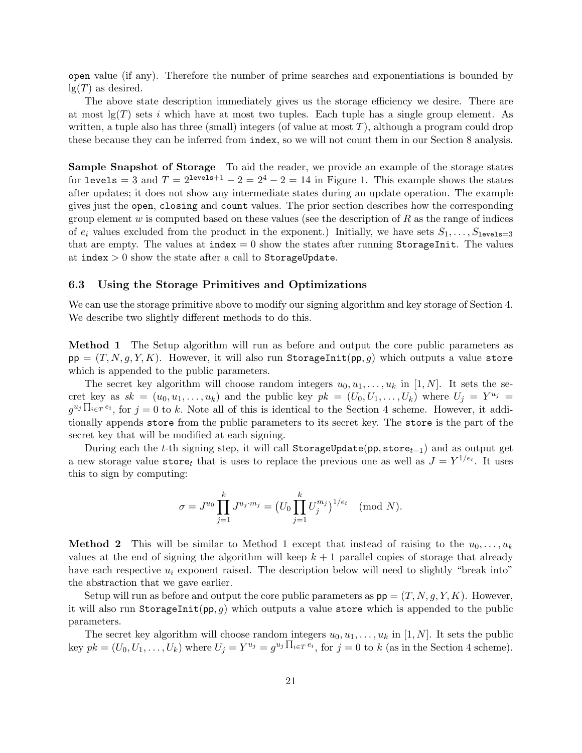open value (if any). Therefore the number of prime searches and exponentiations is bounded by  $lg(T)$  as desired.

The above state description immediately gives us the storage efficiency we desire. There are at most  $\lg(T)$  sets i which have at most two tuples. Each tuple has a single group element. As written, a tuple also has three (small) integers (of value at most  $T$ ), although a program could drop these because they can be inferred from index, so we will not count them in our Section 8 analysis.

Sample Snapshot of Storage To aid the reader, we provide an example of the storage states for levels = 3 and  $T = 2^{\text{levels}+1} - 2 = 2^4 - 2 = 14$  in Figure 1. This example shows the states after updates; it does not show any intermediate states during an update operation. The example gives just the open, closing and count values. The prior section describes how the corresponding group element  $w$  is computed based on these values (see the description of  $R$  as the range of indices of  $e_i$  values excluded from the product in the exponent.) Initially, we have sets  $S_1, \ldots, S_{\text{levels}=3}$ that are empty. The values at  $index = 0$  show the states after running StorageInit. The values at index  $> 0$  show the state after a call to StorageUpdate.

### 6.3 Using the Storage Primitives and Optimizations

We can use the storage primitive above to modify our signing algorithm and key storage of Section 4. We describe two slightly different methods to do this.

Method 1 The Setup algorithm will run as before and output the core public parameters as  $pp = (T, N, g, Y, K)$ . However, it will also run StorageInit(pp, g) which outputs a value store which is appended to the public parameters.

The secret key algorithm will choose random integers  $u_0, u_1, \ldots, u_k$  in [1, N]. It sets the secret key as  $sk = (u_0, u_1, \ldots, u_k)$  and the public key  $pk = (U_0, U_1, \ldots, U_k)$  where  $U_j = Y^{u_j} =$  $g^{u_j}\prod_{i\in\mathcal{I}}e_i$ , for  $j=0$  to k. Note all of this is identical to the Section 4 scheme. However, it additionally appends store from the public parameters to its secret key. The store is the part of the secret key that will be modified at each signing.

During each the t-th signing step, it will call StorageUpdate(pp, store $_{t-1}$ ) and as output get a new storage value  $\texttt{store}_t$  that is uses to replace the previous one as well as  $J = Y^{1/e_t}$ . It uses this to sign by computing:

$$
\sigma = J^{u_0} \prod_{j=1}^k J^{u_j \cdot m_j} = \left( U_0 \prod_{j=1}^k U_j^{m_j} \right)^{1/e_t} \pmod{N}.
$$

**Method 2** This will be similar to Method 1 except that instead of raising to the  $u_0, \ldots, u_k$ values at the end of signing the algorithm will keep  $k + 1$  parallel copies of storage that already have each respective  $u_i$  exponent raised. The description below will need to slightly "break into" the abstraction that we gave earlier.

Setup will run as before and output the core public parameters as  $pp = (T, N, g, Y, K)$ . However, it will also run StorageInit(pp,  $g$ ) which outputs a value store which is appended to the public parameters.

The secret key algorithm will choose random integers  $u_0, u_1, \ldots, u_k$  in [1, N]. It sets the public key  $pk = (U_0, U_1, \ldots, U_k)$  where  $U_j = Y^{u_j} = g^{u_j \prod_{i \in T} e_i}$ , for  $j = 0$  to k (as in the Section 4 scheme).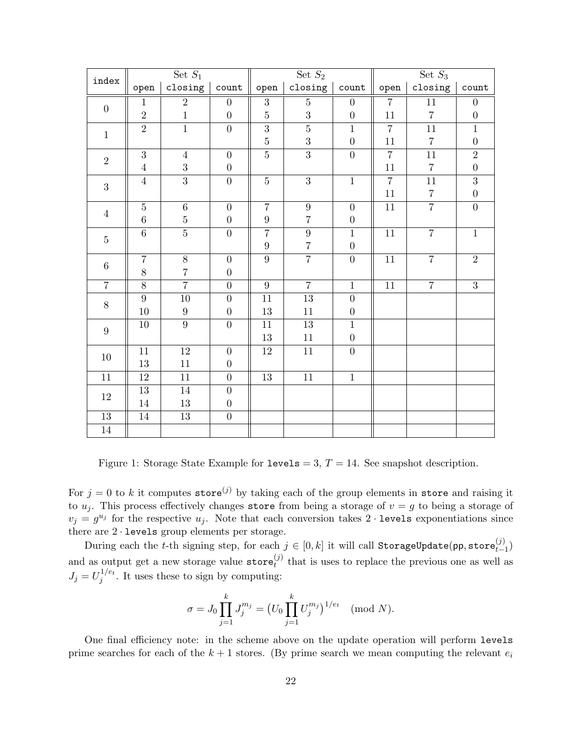| index            |                | Set $S_1$        |                  |                 | Set $S_2$        |                  | Set $S_3$       |                         |                  |
|------------------|----------------|------------------|------------------|-----------------|------------------|------------------|-----------------|-------------------------|------------------|
|                  | open           | closing          | count            | open            | closing          | count            | open            | closing                 | count            |
| $\boldsymbol{0}$ | $\mathbf{1}$   | $\overline{2}$   | $\boldsymbol{0}$ | $\overline{3}$  | $\bf 5$          | $\boldsymbol{0}$ | $\overline{7}$  | 11                      | $\overline{0}$   |
|                  | $\overline{2}$ | $\mathbf{1}$     | $\boldsymbol{0}$ | $\bf 5$         | 3                | $\boldsymbol{0}$ | $11\,$          | $\overline{7}$          | $\boldsymbol{0}$ |
| $1\,$            | $\overline{2}$ | $\overline{1}$   | $\overline{0}$   | $\overline{3}$  | $\overline{5}$   | $\overline{1}$   | $\overline{7}$  | 11                      | $\overline{1}$   |
|                  |                |                  |                  | $\overline{5}$  | 3                | $\overline{0}$   | 11              | $\overline{7}$          | $\overline{0}$   |
| $\overline{2}$   | $\overline{3}$ | $\,4\,$          | $\boldsymbol{0}$ | $\overline{5}$  | $\overline{3}$   | $\boldsymbol{0}$ | $\overline{7}$  | 11                      | $\overline{2}$   |
|                  | $\overline{4}$ | $\sqrt{3}$       | $\boldsymbol{0}$ |                 |                  |                  | 11              | $\overline{7}$          | $\boldsymbol{0}$ |
| 3                | $\overline{4}$ | $\overline{3}$   | $\overline{0}$   | $\overline{5}$  | $\overline{3}$   | $\mathbf{1}$     | $\overline{7}$  | 11                      | $\overline{3}$   |
|                  |                |                  |                  |                 |                  |                  | 11              | $\overline{\mathbf{7}}$ | $\boldsymbol{0}$ |
| $\sqrt{4}$       | $\bf 5$        | $\overline{6}$   | $\overline{0}$   | $\overline{7}$  | $\boldsymbol{9}$ | $\boldsymbol{0}$ | 11              | $\overline{7}$          | $\overline{0}$   |
|                  | $\,6$          | $\bf 5$          | $\boldsymbol{0}$ | $\overline{9}$  | $\overline{7}$   | $\boldsymbol{0}$ |                 |                         |                  |
| $\bf 5$          | $\overline{6}$ | $\overline{5}$   | $\overline{0}$   | $\overline{7}$  | $\boldsymbol{9}$ | $\mathbf{1}$     | $11\,$          | $\overline{7}$          | $\mathbf{1}$     |
|                  |                |                  |                  | 9               | $\overline{7}$   | $\boldsymbol{0}$ |                 |                         |                  |
| $\,6\,$          | $\overline{7}$ | $\overline{8}$   | $\overline{0}$   | $\overline{9}$  | $\overline{7}$   | $\overline{0}$   | $\overline{11}$ | $\overline{7}$          | $\overline{2}$   |
|                  | $8\,$          | $\overline{7}$   | $\boldsymbol{0}$ |                 |                  |                  |                 |                         |                  |
| $\overline{7}$   | $\overline{8}$ | $\overline{7}$   | $\overline{0}$   | $\overline{9}$  | $\overline{7}$   | $\mathbf{1}$     | $11\,$          | $\overline{7}$          | $\overline{3}$   |
| $8\,$            | $\overline{9}$ | $10\,$           | $\overline{0}$   | 11              | 13               | $\overline{0}$   |                 |                         |                  |
|                  | $10\,$         | $\boldsymbol{9}$ | $\boldsymbol{0}$ | 13              | 11               | $\boldsymbol{0}$ |                 |                         |                  |
| $\boldsymbol{9}$ | $10\,$         | $\overline{9}$   | $\overline{0}$   | $11\,$          | $\overline{13}$  | $\mathbf{1}$     |                 |                         |                  |
|                  |                |                  |                  | 13              | 11               | $\boldsymbol{0}$ |                 |                         |                  |
| $10\,$           | 11             | $\overline{12}$  | $\boldsymbol{0}$ | 12              | $11\,$           | $\boldsymbol{0}$ |                 |                         |                  |
|                  | $13\,$         | $11\,$           | $\boldsymbol{0}$ |                 |                  |                  |                 |                         |                  |
| $11\,$           | 12             | 11               | $\overline{0}$   | $\overline{13}$ | $11\,$           | $\overline{1}$   |                 |                         |                  |
| 12               | $13\,$         | $14\,$           | $\boldsymbol{0}$ |                 |                  |                  |                 |                         |                  |
|                  | $14\,$         | $13\,$           | $\boldsymbol{0}$ |                 |                  |                  |                 |                         |                  |
| $13\,$           | $14\,$         | $13\,$           | $\boldsymbol{0}$ |                 |                  |                  |                 |                         |                  |
| $14\,$           |                |                  |                  |                 |                  |                  |                 |                         |                  |

Figure 1: Storage State Example for  ${\tt levels} = 3, T = 14$ . See snapshot description.

For  $j = 0$  to k it computes store<sup>(j)</sup> by taking each of the group elements in store and raising it to  $u_j$ . This process effectively changes store from being a storage of  $v = g$  to being a storage of  $v_j = g^{u_j}$  for the respective  $u_j$ . Note that each conversion takes 2 · levels exponentiations since there are 2 · levels group elements per storage.

During each the  $t$ -th signing step, for each  $j \in [0,k]$  it will call StorageUpdate(pp,store $_{t-1}^{(j)}$ ) and as output get a new storage value  $\mathsf{store}_t^{(j)}$  that is uses to replace the previous one as well as  $J_j = U_j^{1/e_t}$  $j^{1/e_t}$ . It uses these to sign by computing:

$$
\sigma = J_0 \prod_{j=1}^k J_j^{m_j} = \left( U_0 \prod_{j=1}^k U_j^{m_j} \right)^{1/e_t} \pmod{N}.
$$

One final efficiency note: in the scheme above on the update operation will perform levels prime searches for each of the  $k + 1$  stores. (By prime search we mean computing the relevant  $e_i$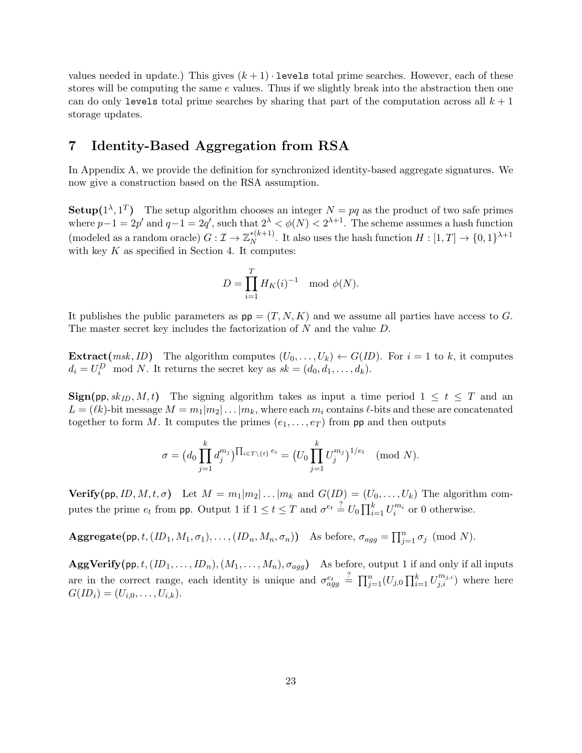values needed in update.) This gives  $(k+1)$  levels total prime searches. However, each of these stores will be computing the same e values. Thus if we slightly break into the abstraction then one can do only levels total prime searches by sharing that part of the computation across all  $k + 1$ storage updates.

# 7 Identity-Based Aggregation from RSA

In Appendix A, we provide the definition for synchronized identity-based aggregate signatures. We now give a construction based on the RSA assumption.

**Setup**( $1^{\lambda}, 1^T$ ) The setup algorithm chooses an integer  $N = pq$  as the product of two safe primes where  $p-1=2p'$  and  $q-1=2q'$ , such that  $2^{\lambda} < \phi(N) < 2^{\lambda+1}$ . The scheme assumes a hash function (modeled as a random oracle)  $G: \mathcal{I} \to \mathbb{Z}_N^{*(k+1)}$ <sup>\*(k+1)</sup>. It also uses the hash function  $H: [1, T] \to \{0, 1\}^{\lambda+1}$ with key  $K$  as specified in Section 4. It computes:

$$
D = \prod_{i=1}^{T} H_K(i)^{-1} \mod \phi(N).
$$

It publishes the public parameters as  $pp = (T, N, K)$  and we assume all parties have access to G. The master secret key includes the factorization of N and the value D.

**Extract**(*msk*, *ID*) The algorithm computes  $(U_0, \ldots, U_k) \leftarrow G(ID)$ . For  $i = 1$  to k, it computes  $d_i = U_i^D \mod N$ . It returns the secret key as  $sk = (d_0, d_1, \ldots, d_k)$ .

 $\textbf{Sign}(pp, sk_{ID}, M, t)$  The signing algorithm takes as input a time period  $1 \leq t \leq T$  and an  $L = (\ell k)$ -bit message  $M = m_1|m_2| \dots |m_k$ , where each  $m_i$  contains  $\ell$ -bits and these are concatenated together to form M. It computes the primes  $(e_1, \ldots, e_T)$  from pp and then outputs

$$
\sigma = (d_0 \prod_{j=1}^k d_j^{m_j})^{\prod_{i \in T \setminus \{t\}} e_i} = (U_0 \prod_{j=1}^k U_j^{m_j})^{1/e_t} \pmod{N}.
$$

**Verify(pp, ID, M, t,**  $\sigma$ **)** Let  $M = m_1 | m_2 | \dots | m_k$  and  $G(ID) = (U_0, \dots, U_k)$  The algorithm computes the prime  $e_t$  from pp. Output 1 if  $1 \le t \le T$  and  $\sigma^{e_t} \stackrel{?}{=} U_0 \prod_{i=1}^k U_i^{m_i}$  or 0 otherwise.

**Aggregate**(pp, t,  $(ID_1, M_1, \sigma_1), \ldots, (ID_n, M_n, \sigma_n)$ ) As before,  $\sigma_{agg} = \prod_{j=1}^n \sigma_j \pmod{N}$ .

 $\text{AggVerify}(pp, t, (ID_1, \ldots, ID_n), (M_1, \ldots, M_n), \sigma_{agg})$  As before, output 1 if and only if all inputs are in the correct range, each identity is unique and  $\sigma_{agg}^{e_t} \stackrel{?}{=} \prod_{j=1}^n (U_{j,0} \prod_{i=1}^k U_{j,i}^{m_{j,i}})$  where here  $G(ID_i) = (U_{i,0}, \ldots, U_{i,k}).$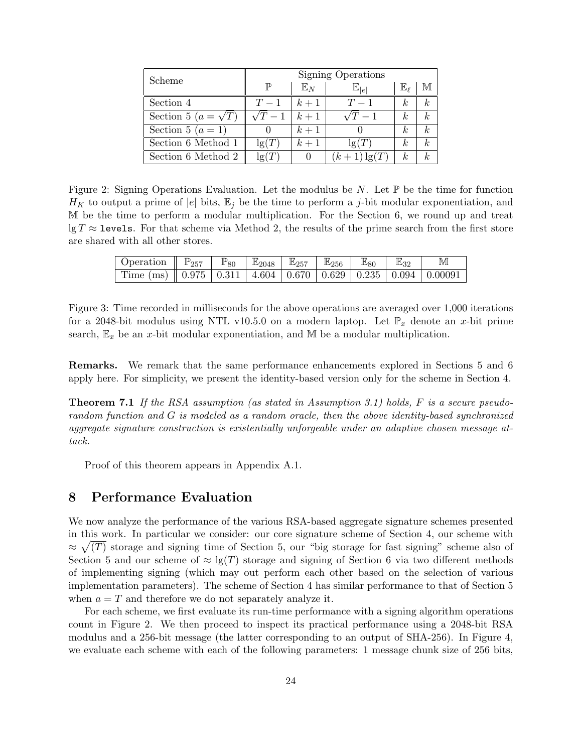| Scheme                       | Signing Operations |                |                               |                     |                |  |  |
|------------------------------|--------------------|----------------|-------------------------------|---------------------|----------------|--|--|
|                              | $\mathbb{P}$       | $\mathbb{E}_N$ | $\mathbb{E}_{\left e\right }$ | $\mathbb{E}_{\ell}$ | M              |  |  |
| Section 4                    | $T-1$              | $k+1$          | $T-1$                         | $\kappa$            | k,             |  |  |
| Section 5 ( $a = \sqrt{T}$ ) | $\sqrt{T-1}$       | $k+1$          | $\sqrt{T-1}$                  | k <sub>i</sub>      | k              |  |  |
| Section 5 ( $a=1$ )          |                    | $k+1$          |                               | k <sub>i</sub>      | k              |  |  |
| Section 6 Method 1           | lg(T)              | $k+1$          | $\lg(T)$                      | k <sub>i</sub>      | k.             |  |  |
| Section 6 Method 2           | $\lg(T)$           |                | $(k+1)\lg(T)$                 | $\boldsymbol{k}$    | k <sub>i</sub> |  |  |

Figure 2: Signing Operations Evaluation. Let the modulus be  $N$ . Let  $\mathbb P$  be the time for function  $H_K$  to output a prime of |e| bits,  $\mathbb{E}_j$  be the time to perform a j-bit modular exponentiation, and M be the time to perform a modular multiplication. For the Section 6, we round up and treat  $\lg T \approx 1$  evels. For that scheme via Method 2, the results of the prime search from the first store are shared with all other stores.

| $\vert$ Operation $\vert \vert$ $\mathbb{P}_{257}$ $\vert$                   |  | $\mathbb{P}_{80}$   $\mathbb{E}_{2048}$ | $\mathbb{E}_{257}$ | $\mathbb{E}_{256}$ | $\mathbb{E}_{80}$ | $\mathbb{E}_{32}$ | M |
|------------------------------------------------------------------------------|--|-----------------------------------------|--------------------|--------------------|-------------------|-------------------|---|
| Time (ms)    0.975   0.311   4.604   0.670   0.629   0.235   0.094   0.00091 |  |                                         |                    |                    |                   |                   |   |

Figure 3: Time recorded in milliseconds for the above operations are averaged over 1,000 iterations for a 2048-bit modulus using NTL v10.5.0 on a modern laptop. Let  $\mathbb{P}_x$  denote an x-bit prime search,  $\mathbb{E}_x$  be an x-bit modular exponentiation, and M be a modular multiplication.

Remarks. We remark that the same performance enhancements explored in Sections 5 and 6 apply here. For simplicity, we present the identity-based version only for the scheme in Section 4.

Theorem 7.1 If the RSA assumption (as stated in Assumption 3.1) holds, F is a secure pseudorandom function and G is modeled as a random oracle, then the above identity-based synchronized aggregate signature construction is existentially unforgeable under an adaptive chosen message attack.

Proof of this theorem appears in Appendix A.1.

### 8 Performance Evaluation

We now analyze the performance of the various RSA-based aggregate signature schemes presented in this work. In particular we consider: our core signature scheme of Section 4, our scheme with  $\approx \sqrt{T}$  storage and signing time of Section 5, our "big storage for fast signing" scheme also of Section 5 and our scheme of  $\approx \lg(T)$  storage and signing of Section 6 via two different methods of implementing signing (which may out perform each other based on the selection of various implementation parameters). The scheme of Section 4 has similar performance to that of Section 5 when  $a = T$  and therefore we do not separately analyze it.

For each scheme, we first evaluate its run-time performance with a signing algorithm operations count in Figure 2. We then proceed to inspect its practical performance using a 2048-bit RSA modulus and a 256-bit message (the latter corresponding to an output of SHA-256). In Figure 4, we evaluate each scheme with each of the following parameters: 1 message chunk size of 256 bits,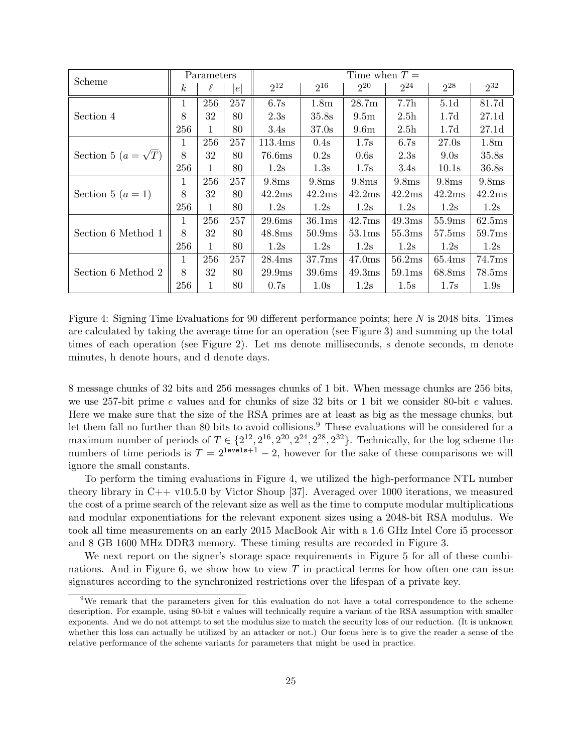|                              |                  | Parameters   |                   | Time when $T=$     |                    |                    |                    |                    |                    |  |
|------------------------------|------------------|--------------|-------------------|--------------------|--------------------|--------------------|--------------------|--------------------|--------------------|--|
| Scheme                       | $\boldsymbol{k}$ | l            | $\left  e\right $ | $2^{12}$           | $2^{16}$           | $2^{20}$           | $2^{24}$           | $2^{28}$           | $2^{32}$           |  |
|                              | 1                | 256          | 257               | 6.7s               | 1.8 <sub>m</sub>   | 28.7m              | 7.7 <sub>h</sub>   | 5.1 <sub>d</sub>   | 81.7d              |  |
| Section 4                    | 8                | 32           | 80                | 2.3s               | 35.8s              | 9.5 <sub>m</sub>   | 2.5 <sub>h</sub>   | 1.7 <sub>d</sub>   | 27.1d              |  |
|                              | 256              | $\mathbf{1}$ | 80                | 3.4s               | 37.0s              | 9.6 <sub>m</sub>   | 2.5 <sub>h</sub>   | 1.7d               | 27.1d              |  |
|                              | 1                | 256          | 257               | 113.4ms            | 0.4s               | 1.7s               | 6.7s               | 27.0s              | 1.8 <sub>m</sub>   |  |
| Section 5 ( $a = \sqrt{T}$ ) | 8                | 32           | 80                | 76.6ms             | 0.2s               | 0.6s               | 2.3s               | 9.0s               | 35.8s              |  |
|                              | 256              | 1            | 80                | 1.2s               | 1.3s               | 1.7s               | 3.4s               | 10.1s              | 36.8s              |  |
|                              | 1                | 256          | 257               | 9.8 <sub>ms</sub>  | 9.8 <sub>ms</sub>  | 9.8 <sub>ms</sub>  | 9.8 <sub>ms</sub>  | 9.8 <sub>ms</sub>  | 9.8 <sub>ms</sub>  |  |
| Section 5 $(a = 1)$          | 8                | 32           | 80                | 42.2ms             | 42.2ms             | 42.2 <sub>ms</sub> | 42.2ms             | 42.2 <sub>ms</sub> | 42.2 <sub>ms</sub> |  |
|                              | 256              | $\mathbf{1}$ | 80                | 1.2s               | 1.2s               | 1.2s               | 1.2s               | 1.2s               | 1.2s               |  |
|                              | 1                | 256          | 257               | 29.6 <sub>ms</sub> | 36.1 <sub>ms</sub> | 42.7 <sub>ms</sub> | 49.3 <sub>ms</sub> | 55.9ms             | 62.5ms             |  |
| Section 6 Method 1           | 8                | 32           | 80                | 48.8 <sub>ms</sub> | 50.9 <sub>ms</sub> | 53.1ms             | 55.3ms             | 57.5 <sub>ms</sub> | 59.7 <sub>ms</sub> |  |
|                              | 256              | 1            | 80                | 1.2s               | 1.2s               | 1.2s               | 1.2s               | 1.2s               | 1.2s               |  |
|                              | 1                | 256          | 257               | 28.4 <sub>ms</sub> | 37.7ms             | 47.0 <sub>ms</sub> | 56.2ms             | 65.4ms             | 74.7ms             |  |
| Section 6 Method 2           | 8                | 32           | 80                | 29.9 <sub>ms</sub> | 39.6 <sub>ms</sub> | 49.3 <sub>ms</sub> | 59.1ms             | 68.8 <sub>ms</sub> | 78.5 <sub>ms</sub> |  |
|                              | 256              | 1            | 80                | 0.7s               | 1.0s               | 1.2s               | 1.5s               | 1.7s               | 1.9s               |  |

Figure 4: Signing Time Evaluations for 90 different performance points; here N is 2048 bits. Times are calculated by taking the average time for an operation (see Figure 3) and summing up the total times of each operation (see Figure 2). Let ms denote milliseconds, s denote seconds, m denote minutes, h denote hours, and d denote days.

8 message chunks of 32 bits and 256 messages chunks of 1 bit. When message chunks are 256 bits, we use 257-bit prime e values and for chunks of size 32 bits or 1 bit we consider 80-bit e values. Here we make sure that the size of the RSA primes are at least as big as the message chunks, but let them fall no further than 80 bits to avoid collisions.<sup>9</sup> These evaluations will be considered for a maximum number of periods of  $T \in \{2^{12}, 2^{16}, 2^{20}, 2^{24}, 2^{28}, 2^{32}\}\.$  Technically, for the log scheme the numbers of time periods is  $T = 2^{\text{levels}+1} - 2$ , however for the sake of these comparisons we will ignore the small constants.

To perform the timing evaluations in Figure 4, we utilized the high-performance NTL number theory library in C++ v10.5.0 by Victor Shoup [37]. Averaged over 1000 iterations, we measured the cost of a prime search of the relevant size as well as the time to compute modular multiplications and modular exponentiations for the relevant exponent sizes using a 2048-bit RSA modulus. We took all time measurements on an early 2015 MacBook Air with a 1.6 GHz Intel Core i5 processor and 8 GB 1600 MHz DDR3 memory. These timing results are recorded in Figure 3.

We next report on the signer's storage space requirements in Figure 5 for all of these combinations. And in Figure 6, we show how to view  $T$  in practical terms for how often one can issue signatures according to the synchronized restrictions over the lifespan of a private key.

<sup>&</sup>lt;sup>9</sup>We remark that the parameters given for this evaluation do not have a total correspondence to the scheme description. For example, using 80-bit e values will technically require a variant of the RSA assumption with smaller exponents. And we do not attempt to set the modulus size to match the security loss of our reduction. (It is unknown whether this loss can actually be utilized by an attacker or not.) Our focus here is to give the reader a sense of the relative performance of the scheme variants for parameters that might be used in practice.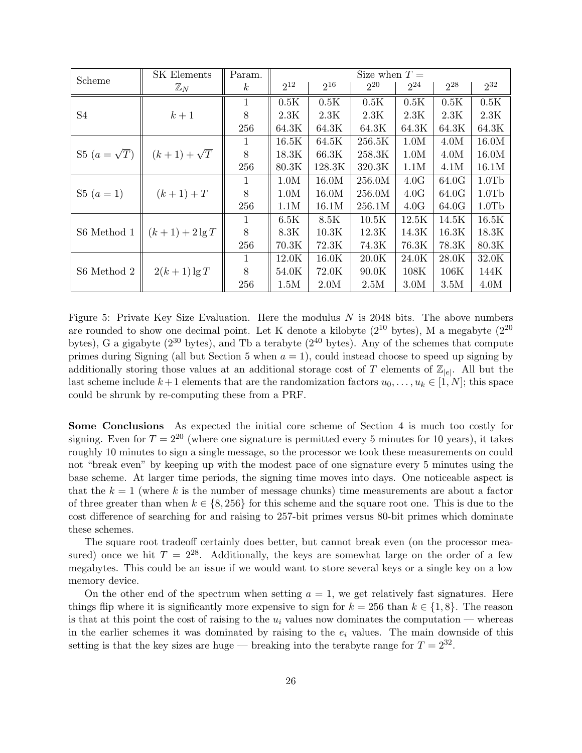| Scheme            | SK Elements       | Param.          | Size when $T=$ |          |          |          |          |                   |  |
|-------------------|-------------------|-----------------|----------------|----------|----------|----------|----------|-------------------|--|
|                   | $\mathbb{Z}_N$    | $k_{\parallel}$ | $2^{12}$       | $2^{16}$ | $2^{20}$ | $2^{24}$ | $2^{28}$ | $2^{32}$          |  |
|                   |                   |                 | 0.5K           | 0.5K     | 0.5K     | 0.5K     | 0.5K     | 0.5K              |  |
| S <sub>4</sub>    | $k+1$             | 8               | 2.3K           | 2.3K     | 2.3K     | 2.3K     | 2.3K     | 2.3K              |  |
|                   |                   | 256             | 64.3K          | 64.3K    | 64.3K    | 64.3K    | 64.3K    | 64.3K             |  |
|                   |                   | 1               | 16.5K          | 64.5K    | 256.5K   | 1.0M     | 4.0M     | 16.0M             |  |
| S5 $(a=\sqrt{T})$ | $(k+1)+\sqrt{T}$  | 8               | 18.3K          | 66.3K    | 258.3K   | 1.0M     | 4.0M     | 16.0M             |  |
|                   |                   | 256             | 80.3K          | 128.3K   | 320.3K   | 1.1M     | 4.1M     | 16.1M             |  |
|                   | $(k + 1) + T$     | 1               | 1.0M           | 16.0M    | 256.0M   | 4.0G     | 64.0G    | $1.0$ Tb          |  |
| S5 $(a = 1)$      |                   | 8               | 1.0M           | 16.0M    | 256.0M   | 4.0G     | 64.0G    | $1.0$ T $b$       |  |
|                   |                   | 256             | 1.1M           | 16.1M    | 256.1M   | 4.0G     | 64.0G    | 1.0 <sub>Th</sub> |  |
|                   | $(k+1) + 2 \lg T$ |                 | 6.5K           | 8.5K     | 10.5K    | 12.5K    | 14.5K    | 16.5K             |  |
| S6 Method 1       |                   | 8               | 8.3K           | 10.3K    | 12.3K    | 14.3K    | 16.3K    | 18.3K             |  |
|                   |                   | 256             | 70.3K          | 72.3K    | 74.3K    | 76.3K    | 78.3K    | 80.3K             |  |
| S6 Method 2       |                   | 1               | 12.0K          | 16.0K    | 20.0K    | 24.0K    | 28.0K    | 32.0K             |  |
|                   | $2(k+1)\lg T$     | 8               | 54.0K          | 72.0K    | 90.0K    | 108K     | 106K     | 144K              |  |
|                   |                   | 256             | 1.5M           | 2.0M     | 2.5M     | 3.0M     | 3.5M     | 4.0M              |  |

Figure 5: Private Key Size Evaluation. Here the modulus  $N$  is 2048 bits. The above numbers are rounded to show one decimal point. Let K denote a kilobyte  $(2^{10}$  bytes), M a megabyte  $(2^{20}$ bytes), G a gigabyte  $(2^{30}$  bytes), and Tb a terabyte  $(2^{40}$  bytes). Any of the schemes that compute primes during Signing (all but Section 5 when  $a = 1$ ), could instead choose to speed up signing by additionally storing those values at an additional storage cost of T elements of  $\mathbb{Z}_{|e|}$ . All but the last scheme include  $k+1$  elements that are the randomization factors  $u_0, \ldots, u_k \in [1, N]$ ; this space could be shrunk by re-computing these from a PRF.

Some Conclusions As expected the initial core scheme of Section 4 is much too costly for signing. Even for  $T = 2^{20}$  (where one signature is permitted every 5 minutes for 10 years), it takes roughly 10 minutes to sign a single message, so the processor we took these measurements on could not "break even" by keeping up with the modest pace of one signature every 5 minutes using the base scheme. At larger time periods, the signing time moves into days. One noticeable aspect is that the  $k = 1$  (where k is the number of message chunks) time measurements are about a factor of three greater than when  $k \in \{8, 256\}$  for this scheme and the square root one. This is due to the cost difference of searching for and raising to 257-bit primes versus 80-bit primes which dominate these schemes.

The square root tradeoff certainly does better, but cannot break even (on the processor measured) once we hit  $T = 2^{28}$ . Additionally, the keys are somewhat large on the order of a few megabytes. This could be an issue if we would want to store several keys or a single key on a low memory device.

On the other end of the spectrum when setting  $a = 1$ , we get relatively fast signatures. Here things flip where it is significantly more expensive to sign for  $k = 256$  than  $k \in \{1, 8\}$ . The reason is that at this point the cost of raising to the  $u_i$  values now dominates the computation — whereas in the earlier schemes it was dominated by raising to the  $e_i$  values. The main downside of this setting is that the key sizes are huge — breaking into the terabyte range for  $T = 2^{32}$ .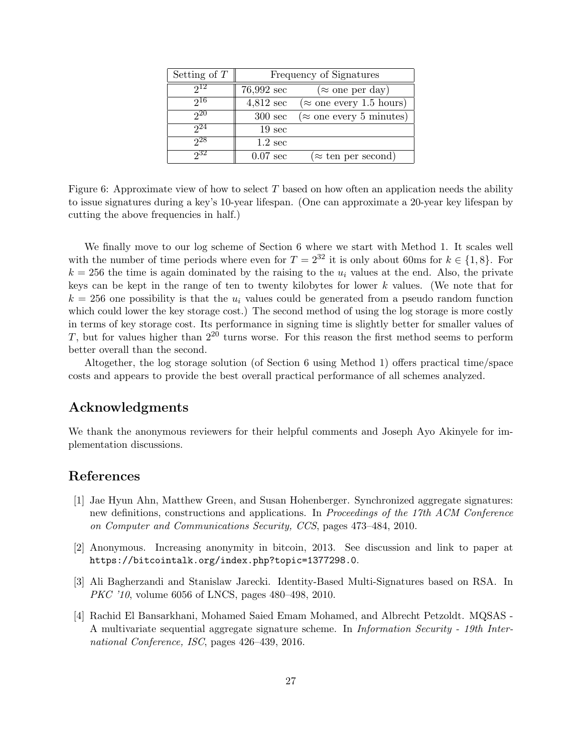| Setting of $T$ | Frequency of Signatures |                                   |  |  |  |  |
|----------------|-------------------------|-----------------------------------|--|--|--|--|
| $2^{12}$       | $76,992 \text{ sec}$    | $(\approx$ one per day)           |  |  |  |  |
| $2^{16}$       | $4,812 \text{ sec}$     | $(\approx$ one every 1.5 hours)   |  |  |  |  |
| 20             | $300 \text{ sec}$       | $(\approx$ one every 5 minutes)   |  |  |  |  |
| $2^{24}$       | 19 <sub>sec</sub>       |                                   |  |  |  |  |
| $2^{28}$       | $1.2 \text{ sec}$       |                                   |  |  |  |  |
| 22             | $0.07 \text{ sec}$      | $(\approx \text{ten per second})$ |  |  |  |  |

Figure 6: Approximate view of how to select  $T$  based on how often an application needs the ability to issue signatures during a key's 10-year lifespan. (One can approximate a 20-year key lifespan by cutting the above frequencies in half.)

We finally move to our log scheme of Section 6 where we start with Method 1. It scales well with the number of time periods where even for  $T = 2^{32}$  it is only about 60ms for  $k \in \{1, 8\}$ . For  $k = 256$  the time is again dominated by the raising to the  $u_i$  values at the end. Also, the private keys can be kept in the range of ten to twenty kilobytes for lower  $k$  values. (We note that for  $k = 256$  one possibility is that the  $u_i$  values could be generated from a pseudo random function which could lower the key storage cost.) The second method of using the log storage is more costly in terms of key storage cost. Its performance in signing time is slightly better for smaller values of T, but for values higher than  $2^{20}$  turns worse. For this reason the first method seems to perform better overall than the second.

Altogether, the log storage solution (of Section 6 using Method 1) offers practical time/space costs and appears to provide the best overall practical performance of all schemes analyzed.

# Acknowledgments

We thank the anonymous reviewers for their helpful comments and Joseph Ayo Akinyele for implementation discussions.

## References

- [1] Jae Hyun Ahn, Matthew Green, and Susan Hohenberger. Synchronized aggregate signatures: new definitions, constructions and applications. In Proceedings of the 17th ACM Conference on Computer and Communications Security, CCS, pages 473–484, 2010.
- [2] Anonymous. Increasing anonymity in bitcoin, 2013. See discussion and link to paper at https://bitcointalk.org/index.php?topic=1377298.0.
- [3] Ali Bagherzandi and Stanislaw Jarecki. Identity-Based Multi-Signatures based on RSA. In PKC '10, volume 6056 of LNCS, pages 480–498, 2010.
- [4] Rachid El Bansarkhani, Mohamed Saied Emam Mohamed, and Albrecht Petzoldt. MQSAS A multivariate sequential aggregate signature scheme. In Information Security - 19th International Conference, ISC, pages 426–439, 2016.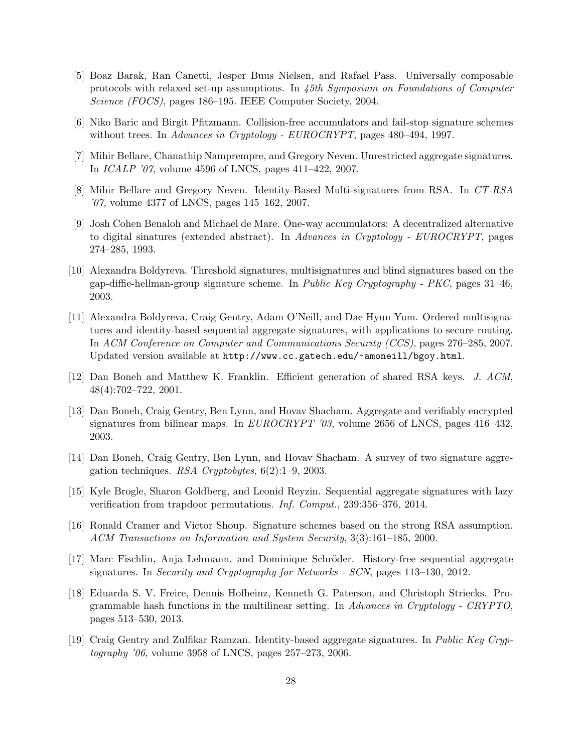- [5] Boaz Barak, Ran Canetti, Jesper Buus Nielsen, and Rafael Pass. Universally composable protocols with relaxed set-up assumptions. In 45th Symposium on Foundations of Computer Science (FOCS), pages 186–195. IEEE Computer Society, 2004.
- [6] Niko Baric and Birgit Pfitzmann. Collision-free accumulators and fail-stop signature schemes without trees. In *Advances in Cryptology - EUROCRYPT*, pages 480–494, 1997.
- [7] Mihir Bellare, Chanathip Namprempre, and Gregory Neven. Unrestricted aggregate signatures. In ICALP '07, volume 4596 of LNCS, pages 411–422, 2007.
- [8] Mihir Bellare and Gregory Neven. Identity-Based Multi-signatures from RSA. In CT-RSA '07, volume 4377 of LNCS, pages 145–162, 2007.
- [9] Josh Cohen Benaloh and Michael de Mare. One-way accumulators: A decentralized alternative to digital sinatures (extended abstract). In Advances in Cryptology - EUROCRYPT, pages 274–285, 1993.
- [10] Alexandra Boldyreva. Threshold signatures, multisignatures and blind signatures based on the gap-diffie-hellman-group signature scheme. In *Public Key Cryptography - PKC*, pages  $31-46$ , 2003.
- [11] Alexandra Boldyreva, Craig Gentry, Adam O'Neill, and Dae Hyun Yum. Ordered multisignatures and identity-based sequential aggregate signatures, with applications to secure routing. In ACM Conference on Computer and Communications Security (CCS), pages 276–285, 2007. Updated version available at http://www.cc.gatech.edu/~amoneill/bgoy.html.
- [12] Dan Boneh and Matthew K. Franklin. Efficient generation of shared RSA keys. J. ACM, 48(4):702–722, 2001.
- [13] Dan Boneh, Craig Gentry, Ben Lynn, and Hovav Shacham. Aggregate and verifiably encrypted signatures from bilinear maps. In EUROCRYPT '03, volume 2656 of LNCS, pages 416–432. 2003.
- [14] Dan Boneh, Craig Gentry, Ben Lynn, and Hovav Shacham. A survey of two signature aggregation techniques. RSA Cryptobytes,  $6(2):1-9$ , 2003.
- [15] Kyle Brogle, Sharon Goldberg, and Leonid Reyzin. Sequential aggregate signatures with lazy verification from trapdoor permutations. Inf. Comput., 239:356–376, 2014.
- [16] Ronald Cramer and Victor Shoup. Signature schemes based on the strong RSA assumption. ACM Transactions on Information and System Security, 3(3):161–185, 2000.
- [17] Marc Fischlin, Anja Lehmann, and Dominique Schröder. History-free sequential aggregate signatures. In Security and Cryptography for Networks - SCN, pages 113–130, 2012.
- [18] Eduarda S. V. Freire, Dennis Hofheinz, Kenneth G. Paterson, and Christoph Striecks. Programmable hash functions in the multilinear setting. In Advances in Cryptology - CRYPTO, pages 513–530, 2013.
- [19] Craig Gentry and Zulfikar Ramzan. Identity-based aggregate signatures. In Public Key Cryptography '06, volume 3958 of LNCS, pages 257–273, 2006.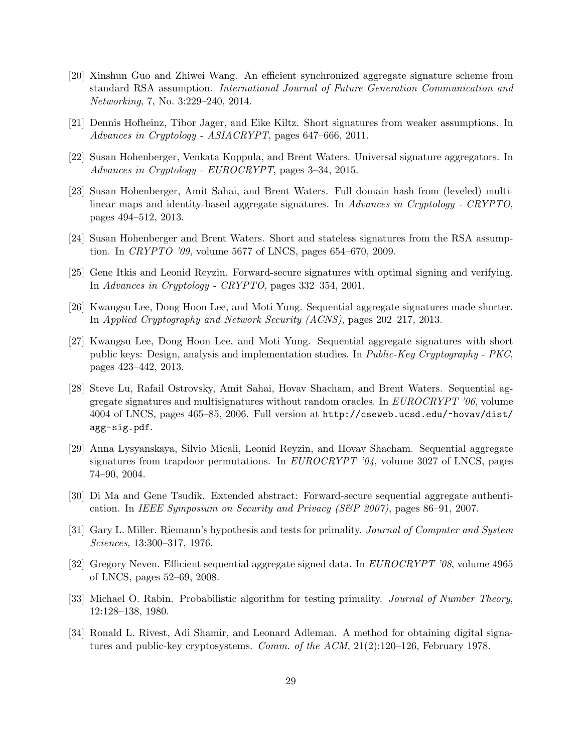- [20] Xinshun Guo and Zhiwei Wang. An efficient synchronized aggregate signature scheme from standard RSA assumption. International Journal of Future Generation Communication and Networking, 7, No. 3:229–240, 2014.
- [21] Dennis Hofheinz, Tibor Jager, and Eike Kiltz. Short signatures from weaker assumptions. In Advances in Cryptology - ASIACRYPT, pages 647–666, 2011.
- [22] Susan Hohenberger, Venkata Koppula, and Brent Waters. Universal signature aggregators. In Advances in Cryptology - EUROCRYPT, pages 3–34, 2015.
- [23] Susan Hohenberger, Amit Sahai, and Brent Waters. Full domain hash from (leveled) multilinear maps and identity-based aggregate signatures. In Advances in Cryptology - CRYPTO, pages 494–512, 2013.
- [24] Susan Hohenberger and Brent Waters. Short and stateless signatures from the RSA assumption. In CRYPTO '09, volume 5677 of LNCS, pages 654–670, 2009.
- [25] Gene Itkis and Leonid Reyzin. Forward-secure signatures with optimal signing and verifying. In Advances in Cryptology - CRYPTO, pages 332–354, 2001.
- [26] Kwangsu Lee, Dong Hoon Lee, and Moti Yung. Sequential aggregate signatures made shorter. In Applied Cryptography and Network Security (ACNS), pages 202–217, 2013.
- [27] Kwangsu Lee, Dong Hoon Lee, and Moti Yung. Sequential aggregate signatures with short public keys: Design, analysis and implementation studies. In Public-Key Cryptography - PKC, pages 423–442, 2013.
- [28] Steve Lu, Rafail Ostrovsky, Amit Sahai, Hovav Shacham, and Brent Waters. Sequential aggregate signatures and multisignatures without random oracles. In EUROCRYPT '06, volume 4004 of LNCS, pages 465–85, 2006. Full version at http://cseweb.ucsd.edu/~hovav/dist/ agg-sig.pdf.
- [29] Anna Lysyanskaya, Silvio Micali, Leonid Reyzin, and Hovav Shacham. Sequential aggregate signatures from trapdoor permutations. In  $EUROCRYPT' 04$ , volume 3027 of LNCS, pages 74–90, 2004.
- [30] Di Ma and Gene Tsudik. Extended abstract: Forward-secure sequential aggregate authentication. In IEEE Symposium on Security and Privacy (S&P 2007), pages 86–91, 2007.
- [31] Gary L. Miller. Riemann's hypothesis and tests for primality. Journal of Computer and System Sciences, 13:300–317, 1976.
- [32] Gregory Neven. Efficient sequential aggregate signed data. In EUROCRYPT '08, volume 4965 of LNCS, pages 52–69, 2008.
- [33] Michael O. Rabin. Probabilistic algorithm for testing primality. Journal of Number Theory, 12:128–138, 1980.
- [34] Ronald L. Rivest, Adi Shamir, and Leonard Adleman. A method for obtaining digital signatures and public-key cryptosystems. Comm. of the ACM, 21(2):120–126, February 1978.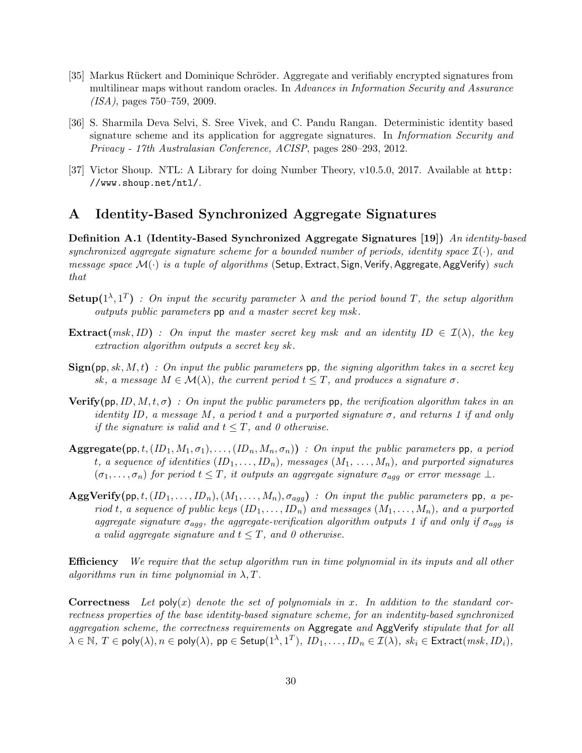- [35] Markus Rückert and Dominique Schröder. Aggregate and verifiably encrypted signatures from multilinear maps without random oracles. In Advances in Information Security and Assurance (ISA), pages 750–759, 2009.
- [36] S. Sharmila Deva Selvi, S. Sree Vivek, and C. Pandu Rangan. Deterministic identity based signature scheme and its application for aggregate signatures. In *Information Security and* Privacy - 17th Australasian Conference, ACISP, pages 280–293, 2012.
- [37] Victor Shoup. NTL: A Library for doing Number Theory, v10.5.0, 2017. Available at http: //www.shoup.net/ntl/.

## A Identity-Based Synchronized Aggregate Signatures

Definition A.1 (Identity-Based Synchronized Aggregate Signatures [19]) An identity-based synchronized aggregate signature scheme for a bounded number of periods, identity space  $\mathcal{I}(\cdot)$ , and message space  $\mathcal{M}(\cdot)$  is a tuple of algorithms (Setup, Extract, Sign, Verify, Aggregate, AggVerify) such that

- **Setup**( $1^{\lambda}, 1^T$ ) : On input the security parameter  $\lambda$  and the period bound T, the setup algorithm outputs public parameters pp and a master secret key msk.
- **Extract**(msk, ID) : On input the master secret key msk and an identity ID  $\in \mathcal{I}(\lambda)$ , the key extraction algorithm outputs a secret key sk .
- $\textbf{Sign}(pp, sk, M, t)$ : On input the public parameters pp, the signing algorithm takes in a secret key sk, a message  $M \in \mathcal{M}(\lambda)$ , the current period  $t \leq T$ , and produces a signature  $\sigma$ .
- **Verify(pp, ID, M, t,**  $\sigma$ **)** : On input the public parameters pp, the verification algorithm takes in an identity ID, a message M, a period t and a purported signature  $\sigma$ , and returns 1 if and only if the signature is valid and  $t \leq T$ , and 0 otherwise.
- $\text{Aggregate}(pp, t, (ID_1, M_1, \sigma_1), \ldots, (ID_n, M_n, \sigma_n))$  : On input the public parameters pp, a period t, a sequence of identities  $(ID_1, \ldots, ID_n)$ , messages  $(M_1, \ldots, M_n)$ , and purported signatures  $(\sigma_1, \ldots, \sigma_n)$  for period  $t \leq T$ , it outputs an aggregate signature  $\sigma_{agg}$  or error message  $\perp$ .
- $\text{AggVerify}(pp, t, (ID_1, \ldots, ID_n), (M_1, \ldots, M_n), \sigma_{agg})$  : On input the public parameters pp, a period t, a sequence of public keys  $(ID_1, \ldots, ID_n)$  and messages  $(M_1, \ldots, M_n)$ , and a purported aggregate signature  $\sigma_{agg}$ , the aggregate-verification algorithm outputs 1 if and only if  $\sigma_{agg}$  is a valid aggregate signature and  $t \leq T$ , and 0 otherwise.

**Efficiency** We require that the setup algorithm run in time polynomial in its inputs and all other algorithms run in time polynomial in  $\lambda$ , T.

**Correctness** Let  $\text{poly}(x)$  denote the set of polynomials in x. In addition to the standard correctness properties of the base identity-based signature scheme, for an indentity-based synchronized aggregation scheme, the correctness requirements on Aggregate and AggVerify stipulate that for all  $\lambda\in\mathbb{N},\ T\in\mathsf{poly}(\lambda),n\in\mathsf{poly}(\lambda),\ \mathsf{pp}\in\mathsf{Setup}(1^\lambda,1^T),\ ID_1,\ldots, ID_n\in\mathcal{I}(\lambda),\ sk_i\in\mathsf{Extract}(msk,ID_i),$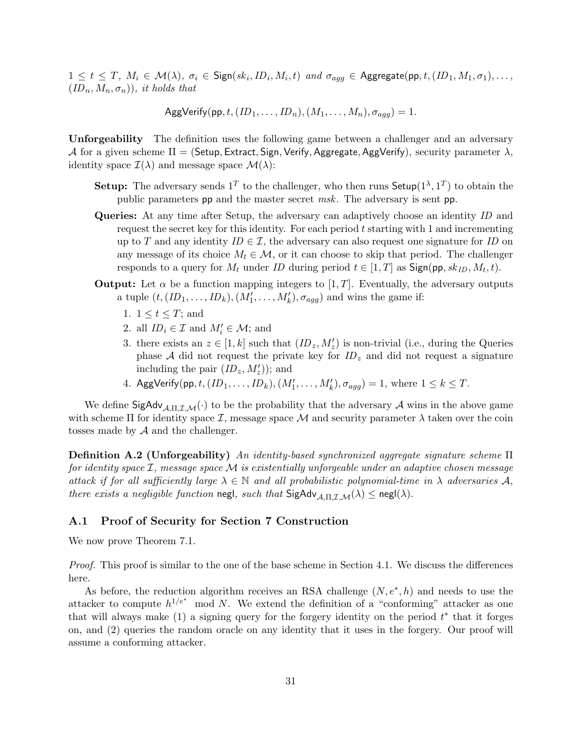$1\leq t\leq T,\;M_i\in\mathcal{M}(\lambda),\;\sigma_i\in\mathsf{Sign}(sk_i,ID_i,M_i,t)\;\;and\;\sigma_{agg}\in\mathsf{Aggregate}(\mathsf{pp},t,(ID_1,M_1,\sigma_1),\ldots,\;$  $(ID_n, M_n, \sigma_n)$ , it holds that

AggVerify(pp,  $t$ ,  $(ID_1, ..., ID_n), (M_1, ..., M_n), \sigma_{aqa}) = 1.$ 

Unforgeability The definition uses the following game between a challenger and an adversary A for a given scheme  $\Pi = ($ Setup, Extract, Sign, Verify, Aggregate, AggVerify), security parameter  $\lambda$ , identity space  $\mathcal{I}(\lambda)$  and message space  $\mathcal{M}(\lambda)$ :

- **Setup:** The adversary sends  $1^T$  to the challenger, who then runs  $\mathsf{Setup}(1^{\lambda},1^T)$  to obtain the public parameters pp and the master secret msk. The adversary is sent pp.
- Queries: At any time after Setup, the adversary can adaptively choose an identity ID and request the secret key for this identity. For each period t starting with 1 and incrementing up to T and any identity  $ID \in \mathcal{I}$ , the adversary can also request one signature for ID on any message of its choice  $M_t \in \mathcal{M}$ , or it can choose to skip that period. The challenger responds to a query for  $M_t$  under ID during period  $t \in [1, T]$  as  $\mathsf{Sign}(pp, sk_{ID}, M_t, t)$ .
- **Output:** Let  $\alpha$  be a function mapping integers to [1, T]. Eventually, the adversary outputs a tuple  $(t, (ID_1, \ldots, ID_k), (M'_1, \ldots, M'_k), \sigma_{agg})$  and wins the game if:
	- 1.  $1 \leq t \leq T$ ; and
	- 2. all  $ID_i \in \mathcal{I}$  and  $M'_i \in \mathcal{M}$ ; and
	- 3. there exists an  $z \in [1, k]$  such that  $(ID_z, M'_z)$  is non-trivial (i.e., during the Queries phase A did not request the private key for  $ID_z$  and did not request a signature including the pair  $(ID_z, M'_z)$ ; and
	- 4. AggVerify(pp,  $t$ ,  $(ID_1, ..., ID_k)$ ,  $(M'_1, ..., M'_k)$ ,  $\sigma_{agg}) = 1$ , where  $1 \leq k \leq T$ .

We define SigAdv<sub>A,Π,I,M</sub>(·) to be the probability that the adversary A wins in the above game with scheme  $\Pi$  for identity space  $\mathcal I$ , message space  $\mathcal M$  and security parameter  $\lambda$  taken over the coin tosses made by  $A$  and the challenger.

Definition A.2 (Unforgeability) An identity-based synchronized aggregate signature scheme Π for identity space  $I$ , message space  $M$  is existentially unforgeable under an adaptive chosen message attack if for all sufficiently large  $\lambda \in \mathbb{N}$  and all probabilistic polynomial-time in  $\lambda$  adversaries  $\mathcal{A}$ , there exists a negligible function negl, such that  $\text{SigAdv}_{\mathcal{A},\Pi,\mathcal{I},\mathcal{M}}(\lambda) \le \text{negl}(\lambda)$ .

### A.1 Proof of Security for Section 7 Construction

We now prove Theorem 7.1.

Proof. This proof is similar to the one of the base scheme in Section 4.1. We discuss the differences here.

As before, the reduction algorithm receives an RSA challenge  $(N, e^*, h)$  and needs to use the attacker to compute  $h^{1/e^*}$  mod N. We extend the definition of a "conforming" attacker as one that will always make  $(1)$  a signing query for the forgery identity on the period  $t^*$  that it forges on, and (2) queries the random oracle on any identity that it uses in the forgery. Our proof will assume a conforming attacker.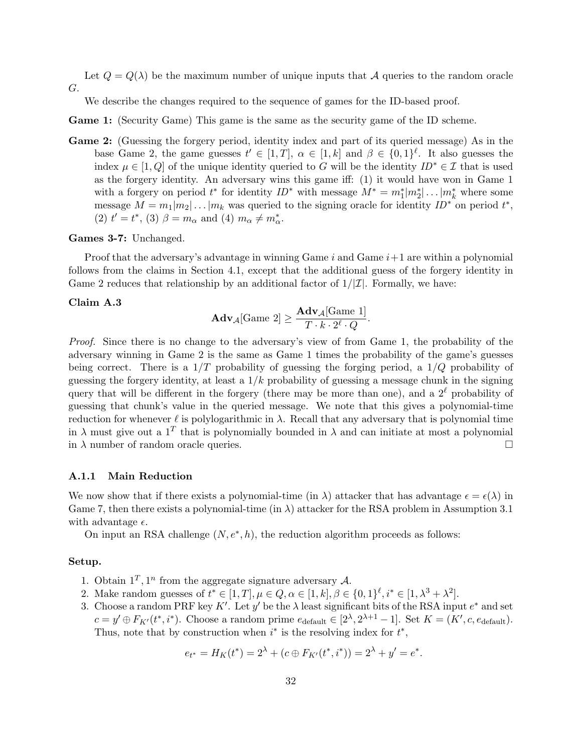Let  $Q = Q(\lambda)$  be the maximum number of unique inputs that A queries to the random oracle G.

We describe the changes required to the sequence of games for the ID-based proof.

Game 1: (Security Game) This game is the same as the security game of the ID scheme.

Game 2: (Guessing the forgery period, identity index and part of its queried message) As in the base Game 2, the game guesses  $t' \in [1, T]$ ,  $\alpha \in [1, k]$  and  $\beta \in \{0, 1\}^{\ell}$ . It also guesses the index  $\mu \in [1, Q]$  of the unique identity queried to G will be the identity  $ID^* \in \mathcal{I}$  that is used as the forgery identity. An adversary wins this game iff: (1) it would have won in Game 1 with a forgery on period  $t^*$  for identity  $ID^*$  with message  $M^* = m_1^* | m_2^* | \dots | m_k^*$  where some message  $M = m_1 | m_2 | \dots | m_k$  was queried to the signing oracle for identity  $ID^*$  on period  $t^*$ , (2)  $t' = t^*$ , (3)  $\beta = m_\alpha$  and (4)  $m_\alpha \neq m^*_\alpha$ .

Games 3-7: Unchanged.

Proof that the adversary's advantage in winning Game  $i$  and Game  $i+1$  are within a polynomial follows from the claims in Section 4.1, except that the additional guess of the forgery identity in Game 2 reduces that relationship by an additional factor of  $1/|\mathcal{I}|$ . Formally, we have:

#### Claim A.3

$$
\mathbf{Adv}_{\mathcal{A}}[\text{Game 2}] \ge \frac{\mathbf{Adv}_{\mathcal{A}}[\text{Game 1}]}{T \cdot k \cdot 2^{\ell} \cdot Q}.
$$

Proof. Since there is no change to the adversary's view of from Game 1, the probability of the adversary winning in Game 2 is the same as Game 1 times the probability of the game's guesses being correct. There is a  $1/T$  probability of guessing the forging period, a  $1/Q$  probability of guessing the forgery identity, at least a  $1/k$  probability of guessing a message chunk in the signing query that will be different in the forgery (there may be more than one), and a  $2^{\ell}$  probability of guessing that chunk's value in the queried message. We note that this gives a polynomial-time reduction for whenever  $\ell$  is polylogarithmic in  $\lambda$ . Recall that any adversary that is polynomial time in  $\lambda$  must give out a 1<sup>T</sup> that is polynomially bounded in  $\lambda$  and can initiate at most a polynomial in  $\lambda$  number of random oracle queries.

#### A.1.1 Main Reduction

We now show that if there exists a polynomial-time (in  $\lambda$ ) attacker that has advantage  $\epsilon = \epsilon(\lambda)$  in Game 7, then there exists a polynomial-time (in  $\lambda$ ) attacker for the RSA problem in Assumption 3.1 with advantage  $\epsilon$ .

On input an RSA challenge  $(N, e^*, h)$ , the reduction algorithm proceeds as follows:

#### Setup.

- 1. Obtain  $1^T$ ,  $1^n$  from the aggregate signature adversary A.
- 2. Make random guesses of  $t^* \in [1, T], \mu \in Q, \alpha \in [1, k], \beta \in \{0, 1\}^{\ell}, i^* \in [1, \lambda^3 + \lambda^2]$ .
- 3. Choose a random PRF key K'. Let y' be the  $\lambda$  least significant bits of the RSA input  $e^*$  and set  $c = y' \oplus F_{K'}(t^*, i^*)$ . Choose a random prime  $e_{\text{default}} \in [2^{\lambda}, 2^{\lambda+1} - 1]$ . Set  $K = (K', c, e_{\text{default}})$ . Thus, note that by construction when  $i^*$  is the resolving index for  $t^*$ ,

$$
e_{t^*} = H_K(t^*) = 2^{\lambda} + (c \oplus F_{K'}(t^*, i^*)) = 2^{\lambda} + y' = e^*.
$$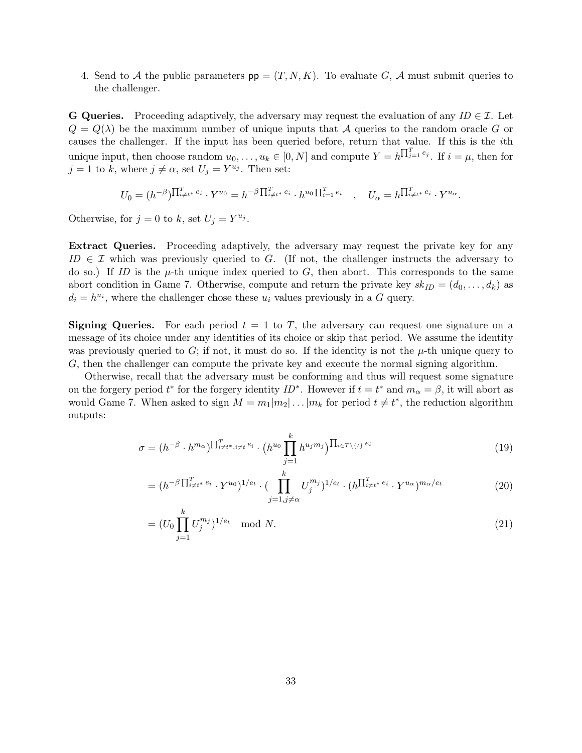4. Send to A the public parameters  $pp = (T, N, K)$ . To evaluate G, A must submit queries to the challenger.

**G Queries.** Proceeding adaptively, the adversary may request the evaluation of any  $ID \in \mathcal{I}$ . Let  $Q = Q(\lambda)$  be the maximum number of unique inputs that A queries to the random oracle G or causes the challenger. If the input has been queried before, return that value. If this is the ith unique input, then choose random  $u_0, \ldots, u_k \in [0, N]$  and compute  $Y = h^{\prod_{j=1}^{T} e_j}$ . If  $i = \mu$ , then for  $j = 1$  to k, where  $j \neq \alpha$ , set  $U_j = Y^{u_j}$ . Then set:

$$
U_0 = (h^{-\beta})^{\prod_{i \neq t^*}^T e_i} \cdot Y^{u_0} = h^{-\beta \prod_{i \neq t^*}^T e_i} \cdot h^{u_0 \prod_{i=1}^T e_i} \quad , \quad U_\alpha = h^{\prod_{i \neq t^*}^T e_i} \cdot Y^{u_\alpha}.
$$

Otherwise, for  $j = 0$  to k, set  $U_j = Y^{u_j}$ .

Extract Queries. Proceeding adaptively, the adversary may request the private key for any ID  $\in \mathcal{I}$  which was previously queried to G. (If not, the challenger instructs the adversary to do so.) If ID is the  $\mu$ -th unique index queried to G, then abort. This corresponds to the same abort condition in Game 7. Otherwise, compute and return the private key  $sk_{ID} = (d_0, \ldots, d_k)$  as  $d_i = h^{u_i}$ , where the challenger chose these  $u_i$  values previously in a G query.

**Signing Queries.** For each period  $t = 1$  to T, the adversary can request one signature on a message of its choice under any identities of its choice or skip that period. We assume the identity was previously queried to G; if not, it must do so. If the identity is not the  $\mu$ -th unique query to G, then the challenger can compute the private key and execute the normal signing algorithm.

Otherwise, recall that the adversary must be conforming and thus will request some signature on the forgery period  $t^*$  for the forgery identity  $ID^*$ . However if  $t = t^*$  and  $m_\alpha = \beta$ , it will abort as would Game 7. When asked to sign  $M = m_1 | m_2 | \dots | m_k$  for period  $t \neq t^*$ , the reduction algorithm outputs:

$$
\sigma = (h^{-\beta} \cdot h^{m_{\alpha}})^{\prod_{i \neq t^*, i \neq t}^T e_i} \cdot (h^{u_0} \prod_{j=1}^k h^{u_j m_j})^{\prod_{i \in T \setminus \{t\}} e_i}
$$
\n(19)

$$
= (h^{-\beta \prod_{i \neq t^*}^T e_i} \cdot Y^{u_0})^{1/e_t} \cdot (\prod_{j=1, j \neq \alpha}^k U_j^{m_j})^{1/e_t} \cdot (h^{\prod_{i \neq t^*}^T e_i} \cdot Y^{u_\alpha})^{m_\alpha/e_t}
$$
(20)

$$
= (U_0 \prod_{j=1}^k U_j^{m_j})^{1/e_t} \mod N.
$$
 (21)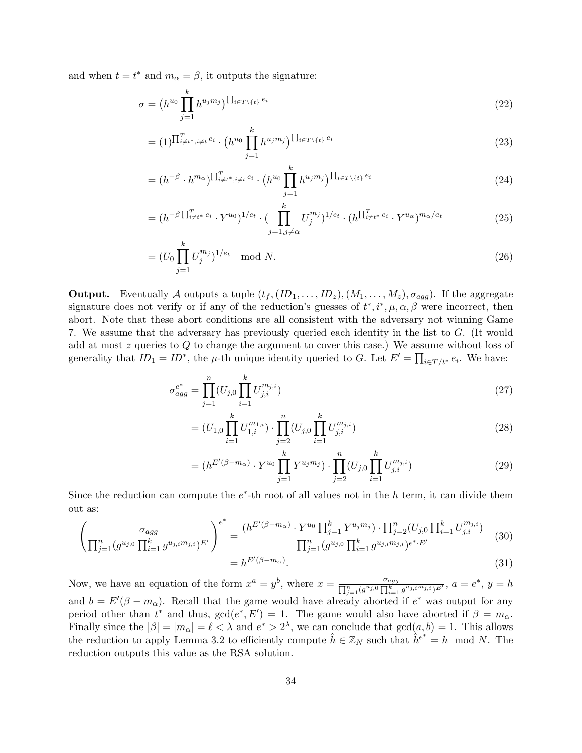and when  $t = t^*$  and  $m_\alpha = \beta$ , it outputs the signature:

$$
\sigma = \left(h^{u_0} \prod_{j=1}^k h^{u_j m_j}\right) \prod_{i \in T \setminus \{t\}} e_i \tag{22}
$$

$$
= (1)^{\prod_{i \neq t^*, i \neq t}^{T} e_i} \cdot \left( h^{u_0} \prod_{j=1}^k h^{u_j m_j} \right)^{\prod_{i \in T \setminus \{t\}} e_i} \tag{23}
$$

$$
= (h^{-\beta} \cdot h^{m_{\alpha}})^{\prod_{i \neq t^*, i \neq t}^{T} e_i} \cdot (h^{u_0} \prod_{j=1}^k h^{u_j m_j})^{\prod_{i \in T \setminus \{t\}} e_i}
$$
\n
$$
(24)
$$

$$
= (h^{-\beta} \Pi_{i \neq t^*}^T e_i \cdot Y^{u_0})^{1/e_t} \cdot (\prod_{j=1, j \neq \alpha}^k U_j^{m_j})^{1/e_t} \cdot (h^{\prod_{i \neq t^*}^T e_i} \cdot Y^{u_\alpha})^{m_\alpha/e_t}
$$
(25)

$$
= (U_0 \prod_{j=1}^k U_j^{m_j})^{1/e_t} \mod N.
$$
 (26)

**Output.** Eventually A outputs a tuple  $(t_f, (ID_1, \ldots, ID_z), (M_1, \ldots, M_z), \sigma_{agg})$ . If the aggregate signature does not verify or if any of the reduction's guesses of  $t^*, i^*, \mu, \alpha, \beta$  were incorrect, then abort. Note that these abort conditions are all consistent with the adversary not winning Game 7. We assume that the adversary has previously queried each identity in the list to G. (It would add at most  $z$  queries to  $Q$  to change the argument to cover this case.) We assume without loss of generality that  $ID_1 = ID^*$ , the  $\mu$ -th unique identity queried to G. Let  $E' = \prod_{i \in T/t^*} e_i$ . We have:

$$
\sigma_{agg}^{e^*} = \prod_{j=1}^n (U_{j,0} \prod_{i=1}^k U_{j,i}^{m_{j,i}})
$$
\n(27)

$$
= (U_{1,0} \prod_{i=1}^{k} U_{1,i}^{m_{1,i}}) \cdot \prod_{j=2}^{n} (U_{j,0} \prod_{i=1}^{k} U_{j,i}^{m_{j,i}})
$$
\n(28)

$$
= (h^{E'(\beta - m_{\alpha})} \cdot Y^{u_0} \prod_{j=1}^{k} Y^{u_j m_j}) \cdot \prod_{j=2}^{n} (U_{j,0} \prod_{i=1}^{k} U_{j,i}^{m_{j,i}})
$$
(29)

Since the reduction can compute the  $e^*$ -th root of all values not in the h term, it can divide them out as:

$$
\left(\frac{\sigma_{agg}}{\prod_{j=1}^{n}(g^{u_{j,0}}\prod_{i=1}^{k}g^{u_{j,i}m_{j,i}})^{E'}}\right)^{e^*} = \frac{(h^{E'(\beta - m_{\alpha})} \cdot Y^{u_0}\prod_{j=1}^{k}Y^{u_jm_j}) \cdot \prod_{j=2}^{n}(U_{j,0}\prod_{i=1}^{k}U_{j,i}^{m_{j,i}})}{\prod_{j=1}^{n}(g^{u_{j,0}}\prod_{i=1}^{k}g^{u_{j,i}m_{j,i}})^{e^* \cdot E'}} \tag{30}
$$
\n
$$
= h^{E'(\beta - m_{\alpha})}.
$$

Now, we have an equation of the form  $x^a = y^b$ , where  $x = \frac{\sigma_{agg}}{\prod_{k=1}^{n} (x^u_{j,0}) \prod_{k=1}^{k}}$  $\frac{\sigma_{agg}}{\prod_{j=1}^{n}(g^{u_{j,0}}\prod_{i=1}^{k}g^{u_{j,i}m_{j,i}})^{E'}} , \, a=e^{*},\,y=h$ and  $b = E'(\beta - m_\alpha)$ . Recall that the game would have already aborted if  $e^*$  was output for any period other than  $t^*$  and thus,  $gcd(e^*, E') = 1$ . The game would also have aborted if  $\beta = m_\alpha$ . Finally since the  $|\beta| = |m_{\alpha}| = \ell < \lambda$  and  $e^* > 2^{\lambda}$ , we can conclude that  $gcd(a, b) = 1$ . This allows the reduction to apply Lemma 3.2 to efficiently compute  $\hat{h} \in \mathbb{Z}_N$  such that  $\hat{h}^{e^*} = h \mod N$ . The reduction outputs this value as the RSA solution.